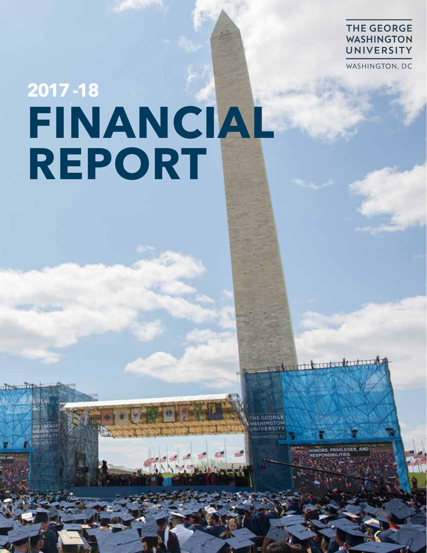### **THE GEORGE WASHINGTON** UNIVERSITY

WASHINGTON, DC

# **FINANCIAL CONSTRUCTION REPORTAS FINANCIAL REPORT**

1 Harborskopper

**E CEORGE** 

ORS. PRIVIL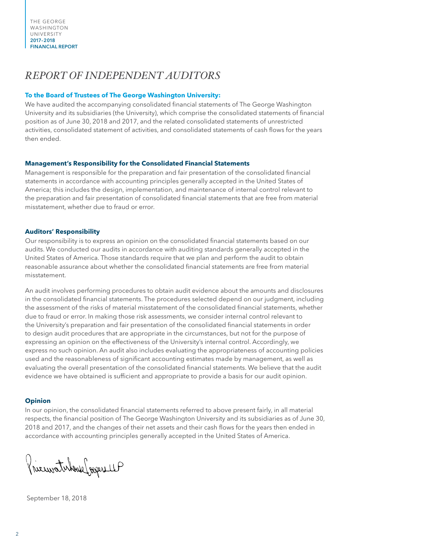## *REPORT OF INDEPENDENT AUDITORS*

#### **To the Board of Trustees of The George Washington University:**

We have audited the accompanying consolidated financial statements of The George Washington University and its subsidiaries (the University), which comprise the consolidated statements of financial position as of June 30, 2018 and 2017, and the related consolidated statements of unrestricted activities, consolidated statement of activities, and consolidated statements of cash flows for the years then ended.

#### **Management's Responsibility for the Consolidated Financial Statements**

Management is responsible for the preparation and fair presentation of the consolidated financial statements in accordance with accounting principles generally accepted in the United States of America; this includes the design, implementation, and maintenance of internal control relevant to the preparation and fair presentation of consolidated financial statements that are free from material misstatement, whether due to fraud or error.

#### **Auditors' Responsibility**

Our responsibility is to express an opinion on the consolidated financial statements based on our audits. We conducted our audits in accordance with auditing standards generally accepted in the United States of America. Those standards require that we plan and perform the audit to obtain reasonable assurance about whether the consolidated financial statements are free from material misstatement.

An audit involves performing procedures to obtain audit evidence about the amounts and disclosures in the consolidated financial statements. The procedures selected depend on our judgment, including the assessment of the risks of material misstatement of the consolidated financial statements, whether due to fraud or error. In making those risk assessments, we consider internal control relevant to the University's preparation and fair presentation of the consolidated financial statements in order to design audit procedures that are appropriate in the circumstances, but not for the purpose of expressing an opinion on the effectiveness of the University's internal control. Accordingly, we express no such opinion. An audit also includes evaluating the appropriateness of accounting policies used and the reasonableness of significant accounting estimates made by management, as well as evaluating the overall presentation of the consolidated financial statements. We believe that the audit evidence we have obtained is sufficient and appropriate to provide a basis for our audit opinion.

#### **Opinion**

In our opinion, the consolidated financial statements referred to above present fairly, in all material respects, the financial position of The George Washington University and its subsidiaries as of June 30, 2018 and 2017, and the changes of their net assets and their cash flows for the years then ended in accordance with accounting principles generally accepted in the United States of America.

Pricewaterhouse Joseph LLP

September 18, 2018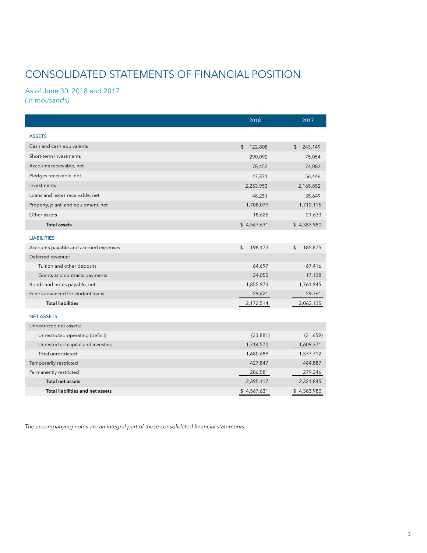# CONSOLIDATED STATEMENTS OF FINANCIAL POSITION

#### As of June 30, 2018 and 2017 *(in thousands)*

|                                         | 2018          | 2017          |
|-----------------------------------------|---------------|---------------|
| <b>ASSETS</b>                           |               |               |
| Cash and cash equivalents               | 122,808<br>\$ | \$<br>243,149 |
| Short-term investments                  | 290,092       | 75,054        |
| Accounts receivable, net                | 78,452        | 74,082        |
| Pledges receivable, net                 | 47,371        | 56,446        |
| Investments                             | 2,253,953     | 2,165,852     |
| Loans and notes receivable, net         | 48,251        | 35,649        |
| Property, plant, and equipment, net     | 1,708,079     | 1,712,115     |
| Other assets                            | 18,625        | 21,633        |
| <b>Total assets</b>                     | \$4,567,631   | \$4,383,980   |
| <b>LIABILITIES</b>                      |               |               |
| Accounts payable and accrued expenses   | 198,173<br>\$ | \$<br>185,875 |
| Deferred revenue:                       |               |               |
| Tuition and other deposits              | 64,697        | 67,416        |
| Grants and contracts payments           | 24,050        | 17,138        |
| Bonds and notes payable, net            | 1,855,973     | 1,761,945     |
| Funds advanced for student loans        | 29,621        | 29,761        |
| <b>Total liabilities</b>                | 2,172,514     | 2,062,135     |
| <b>NET ASSETS</b>                       |               |               |
| Unrestricted net assets:                |               |               |
| Unrestricted operating (deficit)        | (33, 881)     | (31,659)      |
| Unrestricted capital and investing      | 1,714,570     | 1,609,371     |
| Total unrestricted                      | 1,680,689     | 1,577,712     |
| Temporarily restricted                  | 427,847       | 464,887       |
| Permanently restricted                  | 286,581       | 279,246       |
| <b>Total net assets</b>                 | 2,395,117     | 2,321,845     |
| <b>Total liabilities and net assets</b> | \$4,567,631   | \$4,383,980   |

*The accompanying notes are an integral part of these consolidated financial statements.*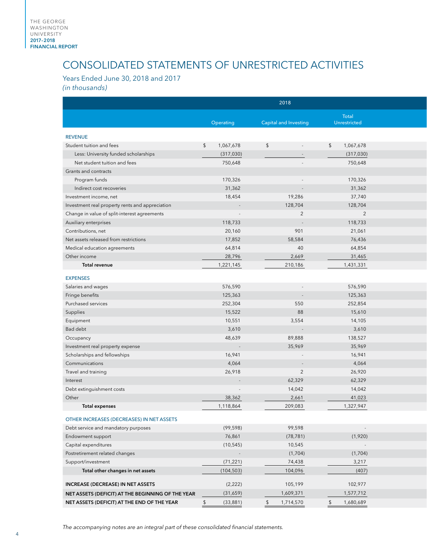# CONSOLIDATED STATEMENTS OF UNRESTRICTED ACTIVITIES

Years Ended June 30, 2018 and 2017

*(in thousands)*

|                                                   |                          | 2018                         |                     |  |
|---------------------------------------------------|--------------------------|------------------------------|---------------------|--|
|                                                   |                          |                              | <b>Total</b>        |  |
|                                                   | Operating                | <b>Capital and Investing</b> | Unrestricted        |  |
| <b>REVENUE</b>                                    |                          |                              |                     |  |
| Student tuition and fees                          | 1,067,678<br>\$          | $\sqrt{2}$                   | 1,067,678<br>\$     |  |
| Less: University funded scholarships              | (317,030)                |                              | (317,030)           |  |
| Net student tuition and fees                      | 750,648                  |                              | 750,648             |  |
| Grants and contracts                              |                          |                              |                     |  |
| Program funds                                     | 170,326                  |                              | 170,326             |  |
| Indirect cost recoveries                          | 31,362                   | $\sim$                       | 31,362              |  |
| Investment income, net                            | 18,454                   | 19,286                       | 37,740              |  |
| Investment real property rents and appreciation   | $\sim$                   | 128,704                      | 128,704             |  |
| Change in value of split-interest agreements      | $\overline{\phantom{a}}$ | $\overline{2}$               | $\overline{2}$      |  |
| Auxiliary enterprises                             | 118,733                  | $\sim$                       | 118,733             |  |
| Contributions, net                                | 20,160                   | 901                          | 21,061              |  |
| Net assets released from restrictions             | 17,852                   | 58,584                       | 76,436              |  |
| Medical education agreements                      | 64,814                   | 40                           | 64,854              |  |
| Other income                                      | 28,796                   | 2,669                        | 31,465              |  |
| Total revenue                                     | 1,221,145                | 210,186                      | 1,431,331           |  |
| <b>EXPENSES</b>                                   |                          |                              |                     |  |
| Salaries and wages                                | 576,590                  |                              | 576,590             |  |
| Fringe benefits                                   | 125,363                  | $\sim$                       | 125,363             |  |
| Purchased services                                | 252,304                  | 550                          | 252,854             |  |
| Supplies                                          | 15,522                   | 88                           | 15,610              |  |
|                                                   | 10,551                   | 3,554                        | 14,105              |  |
| Equipment<br>Bad debt                             | 3,610                    |                              | 3,610               |  |
|                                                   | 48,639                   | $\overline{a}$<br>89,888     | 138,527             |  |
| Occupancy                                         |                          | 35,969                       | 35,969              |  |
| Investment real property expense                  |                          |                              |                     |  |
| Scholarships and fellowships                      | 16,941                   |                              | 16,941              |  |
| Communications                                    | 4,064                    |                              | 4,064               |  |
| Travel and training                               | 26,918                   | $\overline{2}$               | 26,920              |  |
| Interest                                          | $\sim$                   | 62,329                       | 62,329              |  |
| Debt extinguishment costs                         |                          | 14,042                       | 14,042              |  |
| Other<br><b>Total expenses</b>                    | 38,362<br>1,118,864      | 2,661<br>209,083             | 41,023<br>1,327,947 |  |
|                                                   |                          |                              |                     |  |
| OTHER INCREASES (DECREASES) IN NET ASSETS         |                          |                              |                     |  |
| Debt service and mandatory purposes               | (99, 598)                | 99,598                       | $\sim 100$          |  |
| Endowment support                                 | 76,861                   | (78, 781)                    | (1,920)             |  |
| Capital expenditures                              | (10, 545)                | 10,545                       | $\sim$ $-$          |  |
| Postretirement related changes                    |                          | (1,704)                      | (1,704)             |  |
| Support/investment                                | (71, 221)                | 74,438                       | 3,217               |  |
| Total other changes in net assets                 | (104, 503)               | 104,096                      | (407)               |  |
| INCREASE (DECREASE) IN NET ASSETS                 |                          |                              |                     |  |
|                                                   |                          | 105,199                      | 102,977             |  |
| NET ASSETS (DEFICIT) AT THE BEGINNING OF THE YEAR | (2, 222)<br>(31,659)     | 1,609,371                    | 1,577,712           |  |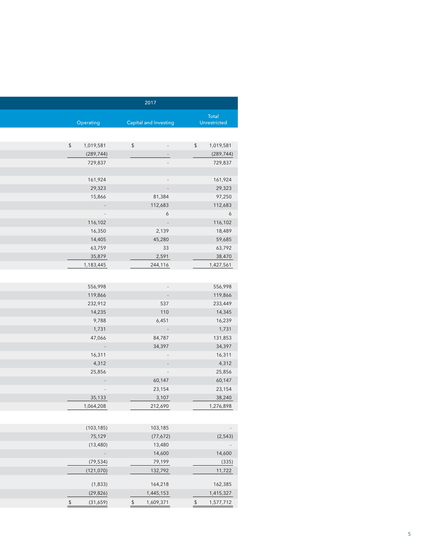|                                                                                     | 2017                       |                                                       |
|-------------------------------------------------------------------------------------|----------------------------|-------------------------------------------------------|
| Total<br>Unrestricted                                                               | Capital and Investing      | Operating                                             |
|                                                                                     |                            |                                                       |
| $\frac{1}{2}$<br>and the state of the                                               | $\frac{1}{2}$              | \$ 1,019,581                                          |
| $\sim$                                                                              |                            | (289, 744)                                            |
| $\sim$                                                                              |                            | 729,837                                               |
| $\sim$                                                                              |                            | 161,924                                               |
| $\mathcal{L}^{\text{max}}_{\text{max}}$ and $\mathcal{L}^{\text{max}}_{\text{max}}$ |                            | 29,323                                                |
| 81,384                                                                              |                            | 15,866                                                |
| 112,683                                                                             |                            | $\mathcal{L}^{\text{max}}_{\text{max}}$               |
| 6                                                                                   |                            | <b>Contract Service</b>                               |
| <u> Angel</u>                                                                       |                            | 116,102                                               |
| 2,139                                                                               |                            | 16,350                                                |
| 45,280                                                                              |                            | 14,405                                                |
| 33                                                                                  |                            | 63,759                                                |
| 2,591                                                                               |                            | 35,879                                                |
| 244,116                                                                             |                            | 1,183,445                                             |
|                                                                                     |                            |                                                       |
| $\sim$                                                                              |                            | 556,998                                               |
| $\sim 10^{-1}$                                                                      |                            | 119,866                                               |
| 537                                                                                 |                            | 232,912                                               |
| 110                                                                                 |                            | 14,235                                                |
| 6,451                                                                               |                            | 9,788                                                 |
| $\mathcal{L}^{\text{max}}_{\text{max}}$                                             |                            | 1,731                                                 |
| 84,787                                                                              |                            | 47,066                                                |
| 34,397                                                                              |                            | $\mathcal{L}_{\rm{max}}$ and $\mathcal{L}_{\rm{max}}$ |
| $\mathcal{L}^{\text{max}}_{\text{max}}$ and $\mathcal{L}^{\text{max}}_{\text{max}}$ |                            | 16,311                                                |
| $\sim$ $\sim$                                                                       |                            | 4,312                                                 |
| $\mathcal{L}(\mathcal{A})$ and $\mathcal{A}(\mathcal{A})$                           |                            | 25,856                                                |
| 60,147                                                                              |                            | <b>TELEPHONE</b>                                      |
| 23,154                                                                              |                            | $\sim 10^{11}$ m $^{-1}$                              |
| 3,107<br>212,690                                                                    |                            | 35,133<br>1,064,208                                   |
|                                                                                     |                            |                                                       |
| 103,185                                                                             |                            | (103, 185)                                            |
| (77, 672)                                                                           |                            | 75,129                                                |
| 13,480                                                                              |                            | (13, 480)                                             |
| 14,600                                                                              |                            | $\sim$                                                |
| 79,199                                                                              |                            | (79, 534)                                             |
| 132,792                                                                             |                            | (121,070)                                             |
| 164,218                                                                             |                            | (1,833)                                               |
| 1,445,153                                                                           |                            | (29, 826)                                             |
| \$ 1,577,712                                                                        | 1,609,371<br>$\frac{1}{2}$ | $\sqrt[6]{\frac{1}{2}}$<br>(31,659)                   |
|                                                                                     |                            |                                                       |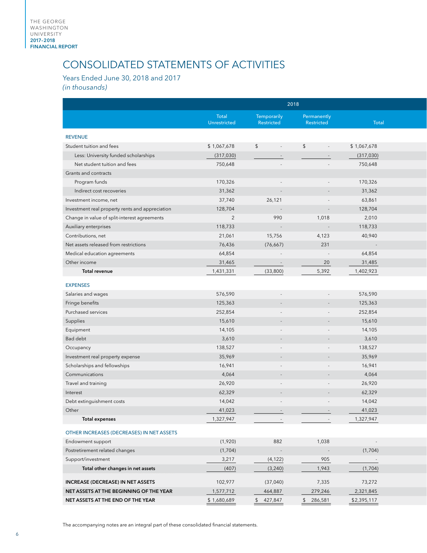# CONSOLIDATED STATEMENTS OF ACTIVITIES

Years Ended June 30, 2018 and 2017 *(in thousands)*

|                                                 | 2018                  |                           |                           |             |  |
|-------------------------------------------------|-----------------------|---------------------------|---------------------------|-------------|--|
|                                                 | Total<br>Unrestricted | Temporarily<br>Restricted | Permanently<br>Restricted | Total       |  |
| <b>REVENUE</b>                                  |                       |                           |                           |             |  |
| Student tuition and fees                        | \$1,067,678           | \$                        | \$                        | \$1,067,678 |  |
| Less: University funded scholarships            | (317,030)             |                           | $\sim$                    | (317,030)   |  |
| Net student tuition and fees                    | 750,648               |                           |                           | 750,648     |  |
| Grants and contracts                            |                       |                           |                           |             |  |
| Program funds                                   | 170,326               |                           |                           | 170,326     |  |
| Indirect cost recoveries                        | 31,362                |                           | $\sim$                    | 31,362      |  |
| Investment income, net                          | 37,740                | 26,121                    | $\sim$                    | 63,861      |  |
| Investment real property rents and appreciation | 128,704               | $\sim$                    | $\sim$                    | 128,704     |  |
| Change in value of split-interest agreements    | $\overline{2}$        | 990                       | 1,018                     | 2,010       |  |
| Auxiliary enterprises                           | 118,733               | $\sim$                    | $\sim$                    | 118,733     |  |
| Contributions, net                              | 21,061                | 15,756                    | 4,123                     | 40,940      |  |
| Net assets released from restrictions           | 76,436                | (76, 667)                 | 231                       | $\sim$      |  |
| Medical education agreements                    | 64,854                |                           | $\sim$                    | 64,854      |  |
| Other income                                    | 31,465                | $\sim$                    | 20                        | 31,485      |  |
| Total revenue                                   | 1,431,331             | (33,800)                  | 5,392                     | 1,402,923   |  |
|                                                 |                       |                           |                           |             |  |
| <b>EXPENSES</b>                                 |                       |                           |                           |             |  |
| Salaries and wages                              | 576,590               |                           | $\sim$                    | 576,590     |  |
| Fringe benefits                                 | 125,363               |                           |                           | 125,363     |  |
| Purchased services                              | 252,854               |                           |                           | 252,854     |  |
| Supplies                                        | 15,610                |                           |                           | 15,610      |  |
| Equipment                                       | 14,105                |                           | $\sim$                    | 14,105      |  |
| Bad debt                                        | 3,610                 |                           | $\sim$                    | 3,610       |  |
| Occupancy                                       | 138,527               |                           | $\sim$                    | 138,527     |  |
| Investment real property expense                | 35,969                | $\sim$                    | $\sim$                    | 35,969      |  |
| Scholarships and fellowships                    | 16,941                |                           | $\overline{\phantom{a}}$  | 16,941      |  |
| Communications                                  | 4,064                 |                           | $\sim$                    | 4,064       |  |
| Travel and training                             | 26,920                |                           |                           | 26,920      |  |
| Interest                                        | 62,329                |                           |                           | 62,329      |  |
| Debt extinguishment costs                       | 14,042                |                           |                           | 14,042      |  |
| Other                                           | 41,023                |                           |                           | 41,023      |  |
| <b>Total expenses</b>                           | 1,327,947             |                           | $\sim$                    | 1,327,947   |  |
| OTHER INCREASES (DECREASES) IN NET ASSETS       |                       |                           |                           |             |  |
| Endowment support                               | (1,920)               | 882                       | 1,038                     | $\sim 100$  |  |
| Postretirement related changes                  | (1,704)               |                           | $\sim$                    | (1,704)     |  |
| Support/investment                              | 3,217                 | (4, 122)                  | 905                       | $\sim 100$  |  |
| Total other changes in net assets               | (407)                 | (3, 240)                  | 1,943                     | (1,704)     |  |
| INCREASE (DECREASE) IN NET ASSETS               | 102,977               | (37, 040)                 | 7,335                     | 73,272      |  |
| NET ASSETS AT THE BEGINNING OF THE YEAR         | 1,577,712             | 464,887                   | 279,246                   | 2,321,845   |  |
| NET ASSETS AT THE END OF THE YEAR               |                       | \$ 427,847                | \$286,581                 | \$2,395,117 |  |
|                                                 | \$1,680,689           |                           |                           |             |  |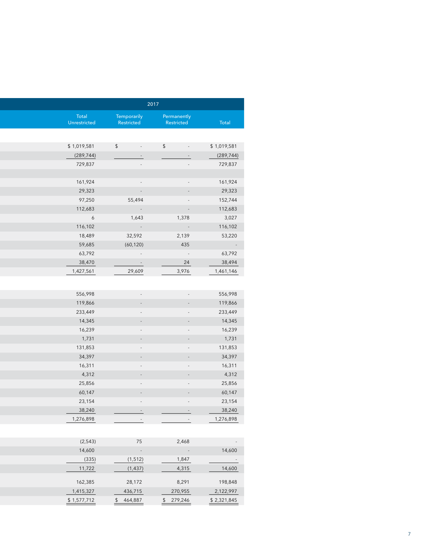|                                         |                                    | 2017                        |                   |
|-----------------------------------------|------------------------------------|-----------------------------|-------------------|
|                                         | Permanently                        | Temporarily                 | Total             |
| Total                                   | Restricted                         | Restricted                  | Unrestricted      |
|                                         |                                    |                             |                   |
| \$1,019,581                             | \$<br>$\sim$                       | $\sqrt{2}$<br>$\sim$ $-$    | \$1,019,581       |
| (289, 744)                              | $\sim$ $-$                         | $\sim$                      | (289, 744)        |
| 729,837                                 | $\sim$                             | $\sim$                      | 729,837           |
|                                         |                                    |                             |                   |
| 161,924                                 | $\sim$                             | $\sim$                      | 161,924           |
| 29,323                                  | $\overline{\phantom{a}}$           |                             | 29,323            |
| 152,744<br>112,683                      | $\overline{\phantom{a}}$<br>$\sim$ | 55,494<br>$\sim 10^{11}$ km | 97,250<br>112,683 |
| 3,027                                   | 1,378                              | 1,643                       | $6\overline{6}$   |
| 116,102                                 | $\sim$ $\pm$                       | $\sim 100$                  | 116,102           |
| 53,220                                  | 2,139                              | 32,592                      | 18,489            |
| $\mathcal{L}^{\text{max}}_{\text{max}}$ | 435                                | (60, 120)                   | 59,685            |
| 63,792                                  | $\sim$ $\sim$                      | $\sim 100$                  | 63,792            |
| 38,494                                  | 24                                 | <u> Alban S</u>             | 38,470            |
| 1,461,146                               | 3,976                              | 29,609                      | 1,427,561         |
|                                         |                                    |                             |                   |
| 556,998                                 | $\sim$                             | $\sim$                      | 556,998           |
| 119,866                                 | $\sim$                             | $\sim$                      | 119,866           |
| 233,449                                 | $\sim$                             | $\sim$                      | 233,449           |
| 14,345                                  | $\sim$                             |                             | 14,345            |
| 16,239                                  | $\sim$                             |                             | 16,239            |
| 1,731                                   | $\sim$                             |                             | 1,731             |
| 131,853                                 | $\sim$                             |                             | 131,853           |
| 34,397                                  | $\sim$                             |                             | 34,397            |
| 16,311<br>4,312                         | $\sim$<br>$\sim$                   |                             | 16,311<br>4,312   |
| 25,856                                  | $\sim$                             | $\sim$                      | 25,856            |
| 60,147                                  | $\sim$                             |                             | 60,147            |
| 23,154                                  | $\sim$                             |                             | 23,154            |
| 38,240                                  | $\sim$ $-$                         | $\sim$ $-$                  | 38,240            |
| 1,276,898                               | $\sim 100$                         | $\sim 100$                  | 1,276,898         |
|                                         |                                    |                             |                   |
| $\sim 100$                              | 2,468                              | 75                          | (2,543)           |
| 14,600                                  | $\sim$                             | $\sim$                      | 14,600            |
| $\mathcal{L}^{\mathcal{L}}$             | 1,847                              | (1, 512)                    | (335)             |
| 14,600                                  | 4,315                              | (1, 437)                    | 11,722            |
|                                         |                                    | 28,172                      | 162,385           |
|                                         |                                    |                             |                   |
| 198,848<br>2,122,997                    | 8,291<br>270,955                   | 436,715                     | 1,415,327         |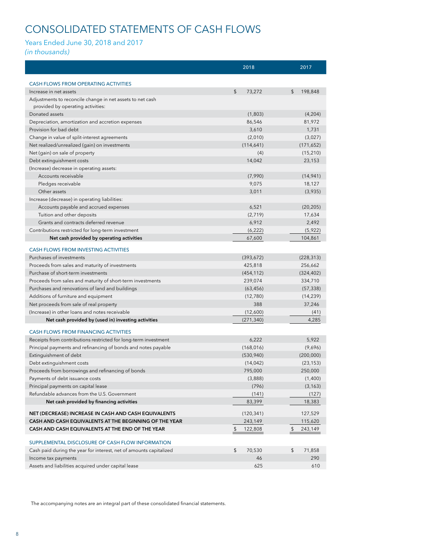#### MAI G CONSOLIDATED STATEMENTS OF CASH FLOWS

#### 2010–2014<br>2019–2019 Years Ended June 30, 2018 and 2017

#### *(in thousands)*

|                                                                                                | 2018          | 2017          |
|------------------------------------------------------------------------------------------------|---------------|---------------|
|                                                                                                |               |               |
| <b>CASH FLOWS FROM OPERATING ACTIVITIES</b>                                                    | \$<br>73,272  | \$<br>198,848 |
| Increase in net assets                                                                         |               |               |
| Adjustments to reconcile change in net assets to net cash<br>provided by operating activities: |               |               |
| Donated assets                                                                                 | (1,803)       | (4,204)       |
| Depreciation, amortization and accretion expenses                                              | 86,546        | 81,972        |
| Provision for bad debt                                                                         | 3,610         | 1,731         |
| Change in value of split-interest agreements                                                   | (2,010)       | (3,027)       |
| Net realized/unrealized (gain) on investments                                                  | (114, 641)    | (171, 652)    |
| Net (gain) on sale of property                                                                 | (4)           | (15, 210)     |
| Debt extinguishment costs                                                                      | 14,042        | 23,153        |
| (Increase) decrease in operating assets:                                                       |               |               |
| Accounts receivable                                                                            | (7,990)       | (14, 941)     |
| Pledges receivable                                                                             | 9,075         | 18,127        |
| Other assets                                                                                   | 3,011         | (3,935)       |
| Increase (decrease) in operating liabilities:                                                  |               |               |
| Accounts payable and accrued expenses                                                          | 6,521         | (20, 205)     |
| Tuition and other deposits                                                                     | (2,719)       | 17,634        |
| Grants and contracts deferred revenue                                                          | 6,912         | 2,492         |
| Contributions restricted for long-term investment                                              | (6, 222)      | (5,922)       |
| Net cash provided by operating activities                                                      | 67,600        | 104,861       |
| <b>CASH FLOWS FROM INVESTING ACTIVITIES</b>                                                    |               |               |
| Purchases of investments                                                                       | (393, 672)    | (228, 313)    |
| Proceeds from sales and maturity of investments                                                | 425,818       | 256,662       |
| Purchase of short-term investments                                                             |               |               |
|                                                                                                | (454, 112)    | (324, 402)    |
| Proceeds from sales and maturity of short-term investments                                     | 239,074       | 334,710       |
| Purchases and renovations of land and buildings                                                | (63, 456)     | (57, 338)     |
| Additions of furniture and equipment                                                           | (12,780)      | (14, 239)     |
| Net proceeds from sale of real property                                                        | 388           | 37,246        |
| (Increase) in other loans and notes receivable                                                 | (12,600)      | (41)          |
| Net cash provided by (used in) investing activities                                            | (271, 340)    | 4,285         |
| <b>CASH FLOWS FROM FINANCING ACTIVITIES</b>                                                    |               |               |
| Receipts from contributions restricted for long-term investment                                | 6,222         | 5,922         |
| Principal payments and refinancing of bonds and notes payable                                  | (168, 016)    | (9,696)       |
| Extinguishment of debt                                                                         | (530, 940)    | (200,000)     |
| Debt extinguishment costs                                                                      | (14, 042)     | (23, 153)     |
| Proceeds from borrowings and refinancing of bonds                                              | 795,000       | 250,000       |
| Payments of debt issuance costs                                                                | (3,888)       | (1,400)       |
| Principal payments on capital lease                                                            | (796)         | (3, 163)      |
| Refundable advances from the U.S. Government                                                   | (141)         | (127)         |
| Net cash provided by financing activities                                                      | 83,399        | 18,383        |
| NET (DECREASE) INCREASE IN CASH AND CASH EQUIVALENTS                                           | (120, 341)    | 127,529       |
| CASH AND CASH EQUIVALENTS AT THE BEGINNING OF THE YEAR                                         | 243,149       | 115,620       |
| CASH AND CASH EQUIVALENTS AT THE END OF THE YEAR                                               | \$<br>122,808 | \$<br>243,149 |
|                                                                                                |               |               |
| SUPPLEMENTAL DISCLOSURE OF CASH FLOW INFORMATION                                               |               |               |
| Cash paid during the year for interest, net of amounts capitalized                             | \$<br>70,530  | \$<br>71,858  |
| Income tax payments                                                                            | 46            | 290           |
| Assets and liabilities acquired under capital lease                                            | 625           | 610           |

The accompanying notes are an integral part of these consolidated financial statements.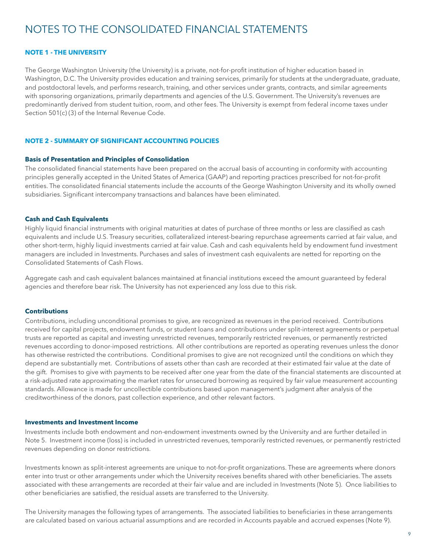# NOTES TO THE CONSOLIDATED FINANCIAL STATEMENTS

#### **NOTE 1 - THE UNIVERSITY**

The George Washington University (the University) is a private, not-for-profit institution of higher education based in Washington, D.C. The University provides education and training services, primarily for students at the undergraduate, graduate, and postdoctoral levels, and performs research, training, and other services under grants, contracts, and similar agreements with sponsoring organizations, primarily departments and agencies of the U.S. Government. The University's revenues are predominantly derived from student tuition, room, and other fees. The University is exempt from federal income taxes under Section 501(c) (3) of the Internal Revenue Code.

#### **NOTE 2 - SUMMARY OF SIGNIFICANT ACCOUNTING POLICIES**

#### **Basis of Presentation and Principles of Consolidation**

The consolidated financial statements have been prepared on the accrual basis of accounting in conformity with accounting principles generally accepted in the United States of America (GAAP) and reporting practices prescribed for not-for-profit entities. The consolidated financial statements include the accounts of the George Washington University and its wholly owned subsidiaries. Significant intercompany transactions and balances have been eliminated.

#### **Cash and Cash Equivalents**

Highly liquid financial instruments with original maturities at dates of purchase of three months or less are classified as cash equivalents and include U.S. Treasury securities, collateralized interest-bearing repurchase agreements carried at fair value, and other short-term, highly liquid investments carried at fair value. Cash and cash equivalents held by endowment fund investment managers are included in Investments. Purchases and sales of investment cash equivalents are netted for reporting on the Consolidated Statements of Cash Flows.

Aggregate cash and cash equivalent balances maintained at financial institutions exceed the amount guaranteed by federal agencies and therefore bear risk. The University has not experienced any loss due to this risk.

#### **Contributions**

Contributions, including unconditional promises to give, are recognized as revenues in the period received. Contributions received for capital projects, endowment funds, or student loans and contributions under split-interest agreements or perpetual trusts are reported as capital and investing unrestricted revenues, temporarily restricted revenues, or permanently restricted revenues according to donor-imposed restrictions. All other contributions are reported as operating revenues unless the donor has otherwise restricted the contributions. Conditional promises to give are not recognized until the conditions on which they depend are substantially met. Contributions of assets other than cash are recorded at their estimated fair value at the date of the gift. Promises to give with payments to be received after one year from the date of the financial statements are discounted at a risk-adjusted rate approximating the market rates for unsecured borrowing as required by fair value measurement accounting standards. Allowance is made for uncollectible contributions based upon management's judgment after analysis of the creditworthiness of the donors, past collection experience, and other relevant factors.

#### **Investments and Investment Income**

Investments include both endowment and non-endowment investments owned by the University and are further detailed in Note 5. Investment income (loss) is included in unrestricted revenues, temporarily restricted revenues, or permanently restricted revenues depending on donor restrictions.

Investments known as split-interest agreements are unique to not-for-profit organizations. These are agreements where donors enter into trust or other arrangements under which the University receives benefits shared with other beneficiaries. The assets associated with these arrangements are recorded at their fair value and are included in Investments (Note 5). Once liabilities to other beneficiaries are satisfied, the residual assets are transferred to the University.

The University manages the following types of arrangements. The associated liabilities to beneficiaries in these arrangements are calculated based on various actuarial assumptions and are recorded in Accounts payable and accrued expenses (Note 9).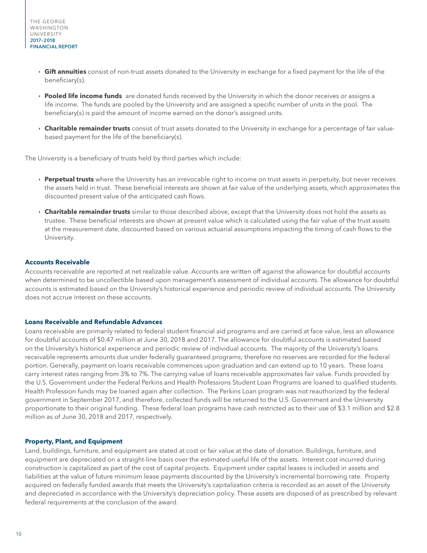- ê **Gift annuities** consist of non-trust assets donated to the University in exchange for a fixed payment for the life of the beneficiary(s).
- ê **Pooled life income funds** are donated funds received by the University in which the donor receives or assigns a life income. The funds are pooled by the University and are assigned a specific number of units in the pool. The beneficiary(s) is paid the amount of income earned on the donor's assigned units.
- ê **Charitable remainder trusts** consist of trust assets donated to the University in exchange for a percentage of fair valuebased payment for the life of the beneficiary(s).

The University is a beneficiary of trusts held by third parties which include:

- **Perpetual trusts** where the University has an irrevocable right to income on trust assets in perpetuity, but never receives the assets held in trust. These beneficial interests are shown at fair value of the underlying assets, which approximates the discounted present value of the anticipated cash flows.
- ê **Charitable remainder trusts** similar to those described above, except that the University does not hold the assets as trustee. These beneficial interests are shown at present value which is calculated using the fair value of the trust assets at the measurement date, discounted based on various actuarial assumptions impacting the timing of cash flows to the University.

#### **Accounts Receivable**

Accounts receivable are reported at net realizable value. Accounts are written off against the allowance for doubtful accounts when determined to be uncollectible based upon management's assessment of individual accounts. The allowance for doubtful accounts is estimated based on the University's historical experience and periodic review of individual accounts. The University does not accrue interest on these accounts.

#### **Loans Receivable and Refundable Advances**

Loans receivable are primarily related to federal student financial aid programs and are carried at face value, less an allowance for doubtful accounts of \$0.47 million at June 30, 2018 and 2017. The allowance for doubtful accounts is estimated based on the University's historical experience and periodic review of individual accounts. The majority of the University's loans receivable represents amounts due under federally guaranteed programs; therefore no reserves are recorded for the federal portion. Generally, payment on loans receivable commences upon graduation and can extend up to 10 years. These loans carry interest rates ranging from 3% to 7%. The carrying value of loans receivable approximates fair value. Funds provided by the U.S. Government under the Federal Perkins and Health Professions Student Loan Programs are loaned to qualified students. Health Profession funds may be loaned again after collection. The Perkins Loan program was not reauthorized by the federal government in September 2017, and therefore, collected funds will be returned to the U.S. Government and the University proportionate to their original funding. These federal loan programs have cash restricted as to their use of \$3.1 million and \$2.8 million as of June 30, 2018 and 2017, respectively.

#### **Property, Plant, and Equipment**

Land, buildings, furniture, and equipment are stated at cost or fair value at the date of donation. Buildings, furniture, and equipment are depreciated on a straight-line basis over the estimated useful life of the assets. Interest cost incurred during construction is capitalized as part of the cost of capital projects. Equipment under capital leases is included in assets and liabilities at the value of future minimum lease payments discounted by the University's incremental borrowing rate. Property acquired on federally funded awards that meets the University's capitalization criteria is recorded as an asset of the University and depreciated in accordance with the University's depreciation policy. These assets are disposed of as prescribed by relevant federal requirements at the conclusion of the award.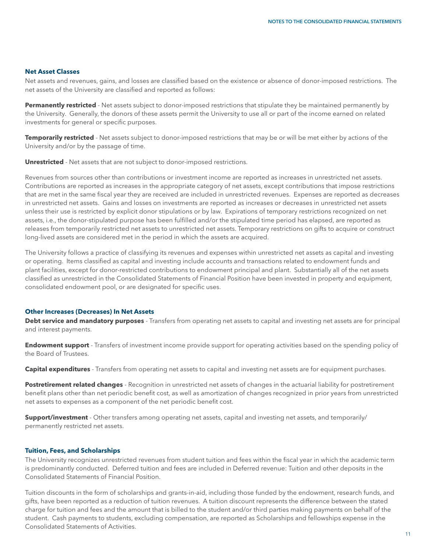#### **Net Asset Classes**

Net assets and revenues, gains, and losses are classified based on the existence or absence of donor-imposed restrictions. The net assets of the University are classified and reported as follows:

**Permanently restricted** - Net assets subject to donor-imposed restrictions that stipulate they be maintained permanently by the University. Generally, the donors of these assets permit the University to use all or part of the income earned on related investments for general or specific purposes.

**Temporarily restricted** - Net assets subject to donor-imposed restrictions that may be or will be met either by actions of the University and/or by the passage of time.

**Unrestricted** - Net assets that are not subject to donor-imposed restrictions.

Revenues from sources other than contributions or investment income are reported as increases in unrestricted net assets. Contributions are reported as increases in the appropriate category of net assets, except contributions that impose restrictions that are met in the same fiscal year they are received are included in unrestricted revenues. Expenses are reported as decreases in unrestricted net assets. Gains and losses on investments are reported as increases or decreases in unrestricted net assets unless their use is restricted by explicit donor stipulations or by law. Expirations of temporary restrictions recognized on net assets, i.e., the donor-stipulated purpose has been fulfilled and/or the stipulated time period has elapsed, are reported as releases from temporarily restricted net assets to unrestricted net assets. Temporary restrictions on gifts to acquire or construct long-lived assets are considered met in the period in which the assets are acquired.

The University follows a practice of classifying its revenues and expenses within unrestricted net assets as capital and investing or operating. Items classified as capital and investing include accounts and transactions related to endowment funds and plant facilities, except for donor-restricted contributions to endowment principal and plant. Substantially all of the net assets classified as unrestricted in the Consolidated Statements of Financial Position have been invested in property and equipment, consolidated endowment pool, or are designated for specific uses.

#### **Other Increases (Decreases) In Net Assets**

**Debt service and mandatory purposes** - Transfers from operating net assets to capital and investing net assets are for principal and interest payments.

**Endowment support** - Transfers of investment income provide support for operating activities based on the spending policy of the Board of Trustees.

**Capital expenditures** - Transfers from operating net assets to capital and investing net assets are for equipment purchases.

**Postretirement related changes** - Recognition in unrestricted net assets of changes in the actuarial liability for postretirement benefit plans other than net periodic benefit cost, as well as amortization of changes recognized in prior years from unrestricted net assets to expenses as a component of the net periodic benefit cost.

**Support/investment** - Other transfers among operating net assets, capital and investing net assets, and temporarily/ permanently restricted net assets.

#### **Tuition, Fees, and Scholarships**

The University recognizes unrestricted revenues from student tuition and fees within the fiscal year in which the academic term is predominantly conducted. Deferred tuition and fees are included in Deferred revenue: Tuition and other deposits in the Consolidated Statements of Financial Position.

Tuition discounts in the form of scholarships and grants-in-aid, including those funded by the endowment, research funds, and gifts, have been reported as a reduction of tuition revenues. A tuition discount represents the difference between the stated charge for tuition and fees and the amount that is billed to the student and/or third parties making payments on behalf of the student. Cash payments to students, excluding compensation, are reported as Scholarships and fellowships expense in the Consolidated Statements of Activities.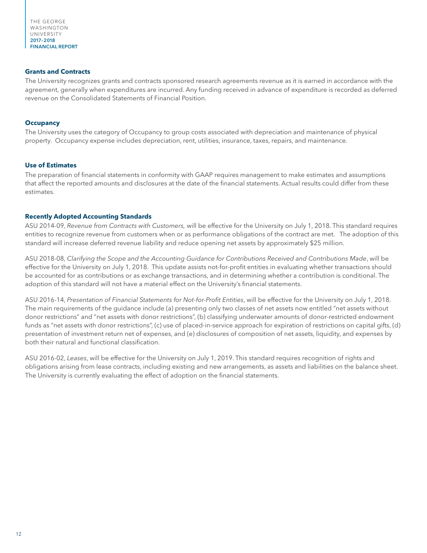THE GEORGE WASHINGTON UNIVERSITY 2017–2018 FINANCIAL REPORT

#### **Grants and Contracts**

The University recognizes grants and contracts sponsored research agreements revenue as it is earned in accordance with the agreement, generally when expenditures are incurred. Any funding received in advance of expenditure is recorded as deferred revenue on the Consolidated Statements of Financial Position.

#### **Occupancy**

The University uses the category of Occupancy to group costs associated with depreciation and maintenance of physical property. Occupancy expense includes depreciation, rent, utilities, insurance, taxes, repairs, and maintenance.

#### **Use of Estimates**

The preparation of financial statements in conformity with GAAP requires management to make estimates and assumptions that affect the reported amounts and disclosures at the date of the financial statements. Actual results could differ from these estimates.

#### **Recently Adopted Accounting Standards**

ASU 2014-09, *Revenue from Contracts with Customers,* will be effective for the University on July 1, 2018. This standard requires entities to recognize revenue from customers when or as performance obligations of the contract are met. The adoption of this standard will increase deferred revenue liability and reduce opening net assets by approximately \$25 million.

ASU 2018-08, *Clarifying the Scope and the Accounting Guidance for Contributions Received and Contributions Made*, will be effective for the University on July 1, 2018. This update assists not-for-profit entities in evaluating whether transactions should be accounted for as contributions or as exchange transactions, and in determining whether a contribution is conditional. The adoption of this standard will not have a material effect on the University's financial statements.

ASU 2016-14, *Presentation of Financial Statements for Not-for-Profit Entities*, will be effective for the University on July 1, 2018. The main requirements of the guidance include (a) presenting only two classes of net assets now entitled "net assets without donor restrictions" and "net assets with donor restrictions", (b) classifying underwater amounts of donor-restricted endowment funds as "net assets with donor restrictions", (c) use of placed-in-service approach for expiration of restrictions on capital gifts, (d) presentation of investment return net of expenses, and (e) disclosures of composition of net assets, liquidity, and expenses by both their natural and functional classification.

ASU 2016-02, *Leases*, will be effective for the University on July 1, 2019. This standard requires recognition of rights and obligations arising from lease contracts, including existing and new arrangements, as assets and liabilities on the balance sheet. The University is currently evaluating the effect of adoption on the financial statements.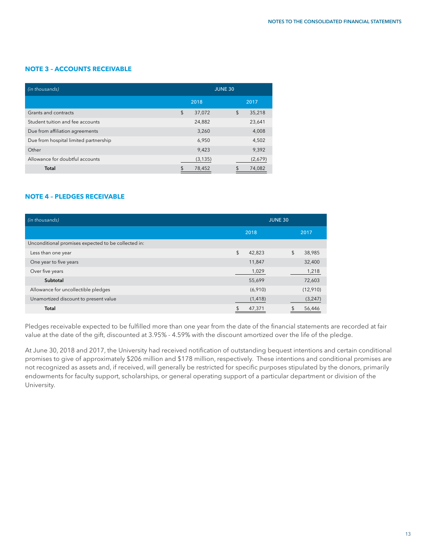#### **NOTE 3 – ACCOUNTS RECEIVABLE**

| (in thousands)                        | <b>JUNE 30</b> |          |    |         |
|---------------------------------------|----------------|----------|----|---------|
|                                       |                | 2018     |    | 2017    |
| Grants and contracts                  | \$             | 37,072   | \$ | 35,218  |
| Student tuition and fee accounts      |                | 24,882   |    | 23,641  |
| Due from affiliation agreements       |                | 3,260    |    | 4,008   |
| Due from hospital limited partnership |                | 6,950    |    | 4,502   |
| Other                                 |                | 9,423    |    | 9,392   |
| Allowance for doubtful accounts       |                | (3, 135) |    | (2,679) |
| Total                                 |                | 78,452   |    | 74,082  |

#### **NOTE 4 – PLEDGES RECEIVABLE**

| (in thousands)                                      | <b>JUNE 30</b>           |              |  |  |
|-----------------------------------------------------|--------------------------|--------------|--|--|
|                                                     | 2018                     | 2017         |  |  |
| Unconditional promises expected to be collected in: |                          |              |  |  |
| Less than one year                                  | \$<br>42,823             | \$<br>38,985 |  |  |
| One year to five years                              | 11,847                   | 32,400       |  |  |
| Over five years                                     | 1,029                    | 1,218        |  |  |
| Subtotal                                            | 55,699                   | 72,603       |  |  |
| Allowance for uncollectible pledges                 | (6,910)                  | (12,910)     |  |  |
| Unamortized discount to present value               | (1, 418)                 | (3, 247)     |  |  |
| <b>Total</b>                                        | $\mathfrak{L}$<br>47,371 | 56,446       |  |  |

Pledges receivable expected to be fulfilled more than one year from the date of the financial statements are recorded at fair value at the date of the gift, discounted at 3.95% - 4.59% with the discount amortized over the life of the pledge.

At June 30, 2018 and 2017, the University had received notification of outstanding bequest intentions and certain conditional promises to give of approximately \$206 million and \$178 million, respectively. These intentions and conditional promises are not recognized as assets and, if received, will generally be restricted for specific purposes stipulated by the donors, primarily endowments for faculty support, scholarships, or general operating support of a particular department or division of the University.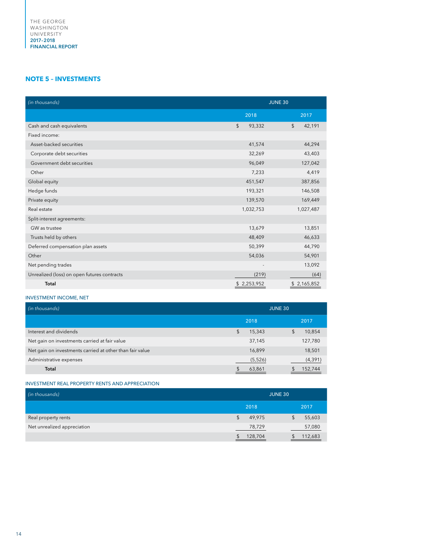#### **NOTE 5 – INVESTMENTS**

| (in thousands)                              | <b>JUNE 30</b>       |                         |  |
|---------------------------------------------|----------------------|-------------------------|--|
|                                             | 2018                 | 2017                    |  |
| Cash and cash equivalents                   | $\sqrt{2}$<br>93,332 | $\sqrt[6]{2}$<br>42,191 |  |
| Fixed income:                               |                      |                         |  |
| Asset-backed securities                     | 41,574               | 44,294                  |  |
| Corporate debt securities                   | 32,269               | 43,403                  |  |
| Government debt securities                  | 96,049               | 127,042                 |  |
| Other                                       | 7,233                | 4,419                   |  |
| Global equity                               | 451,547              | 387,856                 |  |
| Hedge funds                                 | 193,321              | 146,508                 |  |
| Private equity                              | 139,570              | 169,449                 |  |
| Real estate                                 | 1,032,753            | 1,027,487               |  |
| Split-interest agreements:                  |                      |                         |  |
| GW as trustee                               | 13,679               | 13,851                  |  |
| Trusts held by others                       | 48,409               | 46,633                  |  |
| Deferred compensation plan assets           | 50,399               | 44,790                  |  |
| Other                                       | 54,036               | 54,901                  |  |
| Net pending trades                          |                      | 13,092                  |  |
| Unrealized (loss) on open futures contracts | (219)                | (64)                    |  |
| Total                                       | \$2,253,952          | \$2,165,852             |  |

#### INVESTMENT INCOME, NET

| (in thousands)                                           | <b>JUNE 30</b> |          |    |          |
|----------------------------------------------------------|----------------|----------|----|----------|
|                                                          |                | 2018     |    | 2017     |
| Interest and dividends                                   | \$             | 15,343   | \$ | 10,854   |
| Net gain on investments carried at fair value            |                | 37,145   |    | 127,780  |
| Net gain on investments carried at other than fair value |                | 16,899   |    | 18,501   |
| Administrative expenses                                  |                | (5, 526) |    | (4, 391) |
| Total                                                    |                | 63,861   |    | 152,744  |

#### INVESTMENT REAL PROPERTY RENTS AND APPRECIATION

| (in thousands)              | <b>JUNE 30</b> |         |  |  |
|-----------------------------|----------------|---------|--|--|
|                             | 2018           | 2017    |  |  |
| Real property rents         | 49,975         | 55,603  |  |  |
| Net unrealized appreciation | 78,729         | 57,080  |  |  |
|                             | 128,704        | 112,683 |  |  |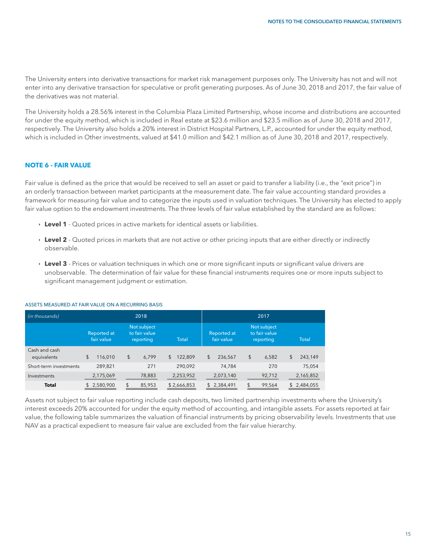The University enters into derivative transactions for market risk management purposes only. The University has not and will not enter into any derivative transaction for speculative or profit generating purposes. As of June 30, 2018 and 2017, the fair value of the derivatives was not material.

The University holds a 28.56% interest in the Columbia Plaza Limited Partnership, whose income and distributions are accounted for under the equity method, which is included in Real estate at \$23.6 million and \$23.5 million as of June 30, 2018 and 2017, respectively. The University also holds a 20% interest in District Hospital Partners, L.P., accounted for under the equity method, which is included in Other investments, valued at \$41.0 million and \$42.1 million as of June 30, 2018 and 2017, respectively.

#### **NOTE 6 - FAIR VALUE**

Fair value is defined as the price that would be received to sell an asset or paid to transfer a liability (i.e., the "exit price") in an orderly transaction between market participants at the measurement date. The fair value accounting standard provides a framework for measuring fair value and to categorize the inputs used in valuation techniques. The University has elected to apply fair value option to the endowment investments. The three levels of fair value established by the standard are as follows:

- **Level 1** Quoted prices in active markets for identical assets or liabilities.
- **Level 2** Quoted prices in markets that are not active or other pricing inputs that are either directly or indirectly observable.
- **Level 3** Prices or valuation techniques in which one or more significant inputs or significant value drivers are unobservable. The determination of fair value for these financial instruments requires one or more inputs subject to significant management judgment or estimation.

| (in thousands)               |                           | 2018                                      |               |                           | 2017                                      |               |
|------------------------------|---------------------------|-------------------------------------------|---------------|---------------------------|-------------------------------------------|---------------|
|                              | Reported at<br>fair value | Not subject<br>to fair value<br>reporting | <b>Total</b>  | Reported at<br>fair value | Not subject<br>to fair value<br>reporting | <b>Total</b>  |
| Cash and cash<br>equivalents | \$<br>116,010             | \$<br>6,799                               | \$<br>122,809 | \$<br>236,567             | \$<br>6,582                               | \$<br>243,149 |
| Short-term investments       | 289,821                   | 271                                       | 290.092       | 74.784                    | 270                                       | 75,054        |
| Investments                  | 2,175,069                 | 78,883                                    | 2,253,952     | 2,073,140                 | 92,712                                    | 2,165,852     |
| <b>Total</b>                 | 2,580,900<br>\$.          | 85,953                                    | \$2,666,853   | \$2,384,491               | $\mathfrak{L}$<br>99,564                  | \$2,484,055   |

#### ASSETS MEASURED AT FAIR VALUE ON A RECURRING BASIS

Assets not subject to fair value reporting include cash deposits, two limited partnership investments where the University's interest exceeds 20% accounted for under the equity method of accounting, and intangible assets. For assets reported at fair value, the following table summarizes the valuation of financial instruments by pricing observability levels. Investments that use NAV as a practical expedient to measure fair value are excluded from the fair value hierarchy.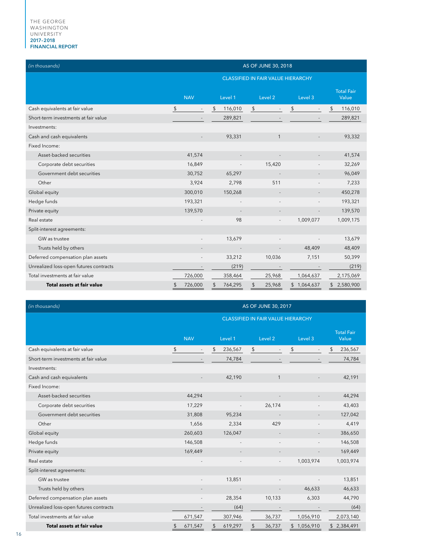| (in thousands)                         | AS OF JUNE 30, 2018 |         |    |                          |    |                                           |             |        |    |                            |
|----------------------------------------|---------------------|---------|----|--------------------------|----|-------------------------------------------|-------------|--------|----|----------------------------|
|                                        |                     |         |    |                          |    | <b>CLASSIFIED IN FAIR VALUE HIERARCHY</b> |             |        |    |                            |
|                                        | <b>NAV</b>          |         |    | Level 1                  |    | Level 2                                   | Level 3     |        |    | <b>Total Fair</b><br>Value |
| Cash equivalents at fair value         | \$                  |         | \$ | 116,010                  | \$ |                                           | \$          |        | \$ | 116,010                    |
| Short-term investments at fair value   |                     |         |    | 289,821                  |    |                                           |             |        |    | 289,821                    |
| Investments:                           |                     |         |    |                          |    |                                           |             |        |    |                            |
| Cash and cash equivalents              |                     |         |    | 93,331                   |    | $\mathbf{1}$                              |             |        |    | 93,332                     |
| Fixed Income:                          |                     |         |    |                          |    |                                           |             |        |    |                            |
| Asset-backed securities                |                     | 41,574  |    |                          |    |                                           |             |        |    | 41,574                     |
| Corporate debt securities              |                     | 16,849  |    |                          |    | 15,420                                    |             |        |    | 32,269                     |
| Government debt securities             |                     | 30,752  |    | 65,297                   |    |                                           |             |        |    | 96,049                     |
| Other                                  |                     | 3,924   |    | 2,798                    |    | 511                                       |             |        |    | 7,233                      |
| Global equity                          |                     | 300,010 |    | 150,268                  |    |                                           |             |        |    | 450,278                    |
| Hedge funds                            |                     | 193,321 |    |                          |    |                                           |             |        |    | 193,321                    |
| Private equity                         |                     | 139,570 |    |                          |    |                                           |             |        |    | 139,570                    |
| Real estate                            |                     |         |    | 98                       |    |                                           | 1,009,077   |        |    | 1,009,175                  |
| Split-interest agreements:             |                     |         |    |                          |    |                                           |             |        |    |                            |
| GW as trustee                          |                     |         |    | 13,679                   |    |                                           |             |        |    | 13,679                     |
| Trusts held by others                  |                     |         |    | $\overline{\phantom{a}}$ |    |                                           |             | 48,409 |    | 48,409                     |
| Deferred compensation plan assets      |                     |         |    | 33,212                   |    | 10,036                                    |             | 7,151  |    | 50,399                     |
| Unrealized loss-open futures contracts |                     |         |    | (219)                    |    |                                           |             |        |    | (219)                      |
| Total investments at fair value        |                     | 726,000 |    | 358,464                  |    | 25,968                                    | 1,064,637   |        |    | 2,175,069                  |
| Total assets at fair value             | \$                  | 726,000 | \$ | 764,295                  |    | 25,968                                    | \$1,064,637 |        |    | \$2,580,900                |

| (in thousands)                         | AS OF JUNE 30, 2017 |               |                                           |             |                            |  |  |  |  |  |
|----------------------------------------|---------------------|---------------|-------------------------------------------|-------------|----------------------------|--|--|--|--|--|
|                                        |                     |               | <b>CLASSIFIED IN FAIR VALUE HIERARCHY</b> |             |                            |  |  |  |  |  |
|                                        | <b>NAV</b>          | Level 1       | Level <sub>2</sub>                        | Level 3     | <b>Total Fair</b><br>Value |  |  |  |  |  |
| Cash equivalents at fair value         | $\sqrt{2}$          | \$<br>236,567 | \$                                        | \$          | 236,567<br>\$              |  |  |  |  |  |
| Short-term investments at fair value   |                     | 74,784        |                                           |             | 74,784                     |  |  |  |  |  |
| Investments:                           |                     |               |                                           |             |                            |  |  |  |  |  |
| Cash and cash equivalents              |                     | 42,190        | $\mathbf{1}$                              |             | 42,191                     |  |  |  |  |  |
| Fixed Income:                          |                     |               |                                           |             |                            |  |  |  |  |  |
| Asset-backed securities                | 44,294              |               | $\overline{\phantom{a}}$                  |             | 44,294                     |  |  |  |  |  |
| Corporate debt securities              | 17,229              |               | 26,174                                    |             | 43,403                     |  |  |  |  |  |
| Government debt securities             | 31,808              | 95,234        |                                           |             | 127,042                    |  |  |  |  |  |
| Other                                  | 1,656               | 2,334         | 429                                       |             | 4,419                      |  |  |  |  |  |
| Global equity                          | 260,603             | 126,047       |                                           |             | 386,650                    |  |  |  |  |  |
| Hedge funds                            | 146,508             |               |                                           |             | 146,508                    |  |  |  |  |  |
| Private equity                         | 169,449             |               |                                           |             | 169,449                    |  |  |  |  |  |
| Real estate                            |                     |               | $\overline{a}$                            | 1,003,974   | 1,003,974                  |  |  |  |  |  |
| Split-interest agreements:             |                     |               |                                           |             |                            |  |  |  |  |  |
| GW as trustee                          | $\sim$              | 13,851        |                                           |             | 13,851                     |  |  |  |  |  |
| Trusts held by others                  |                     |               |                                           | 46,633      | 46,633                     |  |  |  |  |  |
| Deferred compensation plan assets      |                     | 28,354        | 10,133                                    | 6,303       | 44,790                     |  |  |  |  |  |
| Unrealized loss-open futures contracts |                     | (64)          |                                           |             | (64)                       |  |  |  |  |  |
| Total investments at fair value        | 671,547             | 307,946       | 36,737                                    | 1,056,910   | 2,073,140                  |  |  |  |  |  |
| Total assets at fair value             | 671,547             | 619,297       | 36,737<br>\$                              | \$1,056,910 | 2,384,491<br>\$            |  |  |  |  |  |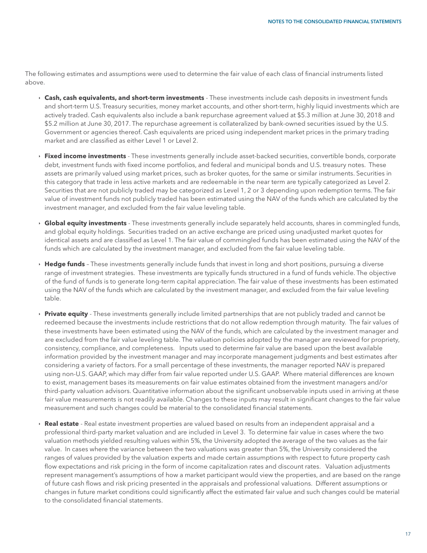The following estimates and assumptions were used to determine the fair value of each class of financial instruments listed above.

- ê **Cash, cash equivalents, and short-term investments** These investments include cash deposits in investment funds and short-term U.S. Treasury securities, money market accounts, and other short-term, highly liquid investments which are actively traded. Cash equivalents also include a bank repurchase agreement valued at \$5.3 million at June 30, 2018 and \$5.2 million at June 30, 2017. The repurchase agreement is collateralized by bank-owned securities issued by the U.S. Government or agencies thereof. Cash equivalents are priced using independent market prices in the primary trading market and are classified as either Level 1 or Level 2.
- ê **Fixed income investments** These investments generally include asset-backed securities, convertible bonds, corporate debt, investment funds with fixed income portfolios, and federal and municipal bonds and U.S. treasury notes. These assets are primarily valued using market prices, such as broker quotes, for the same or similar instruments. Securities in this category that trade in less active markets and are redeemable in the near term are typically categorized as Level 2. Securities that are not publicly traded may be categorized as Level 1, 2 or 3 depending upon redemption terms. The fair value of investment funds not publicly traded has been estimated using the NAV of the funds which are calculated by the investment manager, and excluded from the fair value leveling table.
- ê **Global equity investments** These investments generally include separately held accounts, shares in commingled funds, and global equity holdings. Securities traded on an active exchange are priced using unadjusted market quotes for identical assets and are classified as Level 1. The fair value of commingled funds has been estimated using the NAV of the funds which are calculated by the investment manager, and excluded from the fair value leveling table.
- **Hedge funds** These investments generally include funds that invest in long and short positions, pursuing a diverse range of investment strategies. These investments are typically funds structured in a fund of funds vehicle. The objective of the fund of funds is to generate long-term capital appreciation. The fair value of these investments has been estimated using the NAV of the funds which are calculated by the investment manager, and excluded from the fair value leveling table.
- **Private equity** These investments generally include limited partnerships that are not publicly traded and cannot be redeemed because the investments include restrictions that do not allow redemption through maturity. The fair values of these investments have been estimated using the NAV of the funds, which are calculated by the investment manager and are excluded from the fair value leveling table. The valuation policies adopted by the manager are reviewed for propriety, consistency, compliance, and completeness. Inputs used to determine fair value are based upon the best available information provided by the investment manager and may incorporate management judgments and best estimates after considering a variety of factors. For a small percentage of these investments, the manager reported NAV is prepared using non-U.S. GAAP, which may differ from fair value reported under U.S. GAAP. Where material differences are known to exist, management bases its measurements on fair value estimates obtained from the investment managers and/or third-party valuation advisors. Quantitative information about the significant unobservable inputs used in arriving at these fair value measurements is not readily available. Changes to these inputs may result in significant changes to the fair value measurement and such changes could be material to the consolidated financial statements.
- ê **Real estate** Real estate investment properties are valued based on results from an independent appraisal and a professional third-party market valuation and are included in Level 3. To determine fair value in cases where the two valuation methods yielded resulting values within 5%, the University adopted the average of the two values as the fair value. In cases where the variance between the two valuations was greater than 5%, the University considered the ranges of values provided by the valuation experts and made certain assumptions with respect to future property cash flow expectations and risk pricing in the form of income capitalization rates and discount rates. Valuation adjustments represent management's assumptions of how a market participant would view the properties, and are based on the range of future cash flows and risk pricing presented in the appraisals and professional valuations. Different assumptions or changes in future market conditions could significantly affect the estimated fair value and such changes could be material to the consolidated financial statements.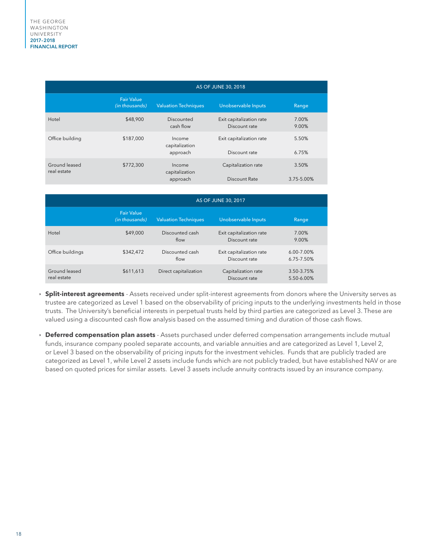|                              | AS OF JUNE 30, 2018                 |                                      |                                           |                     |  |  |  |  |  |  |
|------------------------------|-------------------------------------|--------------------------------------|-------------------------------------------|---------------------|--|--|--|--|--|--|
|                              | <b>Fair Value</b><br>(in thousands) | <b>Valuation Techniques</b>          | Unobservable Inputs                       | Range               |  |  |  |  |  |  |
| Hotel                        | \$48,900                            | Discounted<br>cash flow              | Exit capitalization rate<br>Discount rate | 7.00%<br>9.00%      |  |  |  |  |  |  |
| Office building              | \$187,000                           | Income<br>capitalization<br>approach | Exit capitalization rate<br>Discount rate | 5.50%<br>6.75%      |  |  |  |  |  |  |
| Ground leased<br>real estate | \$772,300                           | Income<br>capitalization<br>approach | Capitalization rate<br>Discount Rate      | 3.50%<br>3.75-5.00% |  |  |  |  |  |  |

|                              |                                     |                             | AS OF JUNE 30, 2017                       |                          |
|------------------------------|-------------------------------------|-----------------------------|-------------------------------------------|--------------------------|
|                              | <b>Fair Value</b><br>(in thousands) | <b>Valuation Techniques</b> | Unobservable Inputs                       | Range                    |
| Hotel                        | \$49,000                            | Discounted cash<br>flow     | Exit capitalization rate<br>Discount rate | 7.00%<br>9.00%           |
| Office buildings             | \$342,472                           | Discounted cash<br>flow     | Exit capitalization rate<br>Discount rate | 6.00-7.00%<br>6.75-7.50% |
| Ground leased<br>real estate | \$611,613                           | Direct capitalization       | Capitalization rate<br>Discount rate      | 3.50-3.75%<br>5.50-6.00% |

- ê **Split-interest agreements**  Assets received under split-interest agreements from donors where the University serves as trustee are categorized as Level 1 based on the observability of pricing inputs to the underlying investments held in those trusts. The University's beneficial interests in perpetual trusts held by third parties are categorized as Level 3. These are valued using a discounted cash flow analysis based on the assumed timing and duration of those cash flows.
- ê **Deferred compensation plan assets** Assets purchased under deferred compensation arrangements include mutual funds, insurance company pooled separate accounts, and variable annuities and are categorized as Level 1, Level 2, or Level 3 based on the observability of pricing inputs for the investment vehicles. Funds that are publicly traded are categorized as Level 1, while Level 2 assets include funds which are not publicly traded, but have established NAV or are based on quoted prices for similar assets. Level 3 assets include annuity contracts issued by an insurance company.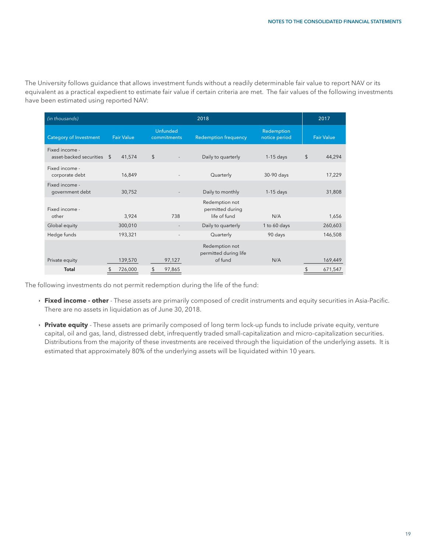The University follows guidance that allows investment funds without a readily determinable fair value to report NAV or its equivalent as a practical expedient to estimate fair value if certain criteria are met. The fair values of the following investments have been estimated using reported NAV:

| (in thousands)                               |                   |                                | 2018                                               |                             |                   |  |  |  |
|----------------------------------------------|-------------------|--------------------------------|----------------------------------------------------|-----------------------------|-------------------|--|--|--|
| <b>Category of Investment</b>                | <b>Fair Value</b> | <b>Unfunded</b><br>commitments | <b>Redemption frequency</b>                        | Redemption<br>notice period | <b>Fair Value</b> |  |  |  |
| Fixed income -<br>asset-backed securities \$ | 41,574            | $\frac{2}{3}$                  | Daily to quarterly                                 | $1-15$ days                 | \$<br>44,294      |  |  |  |
| Fixed income -<br>corporate debt             | 16,849            |                                | Quarterly                                          | 30-90 days                  | 17,229            |  |  |  |
| Fixed income -<br>government debt            | 30,752            |                                | Daily to monthly                                   | $1-15$ days                 | 31,808            |  |  |  |
| Fixed income -<br>other                      | 3,924             | 738                            | Redemption not<br>permitted during<br>life of fund | N/A                         | 1,656             |  |  |  |
| Global equity                                | 300,010           |                                | Daily to quarterly                                 | 1 to 60 days                | 260,603           |  |  |  |
| Hedge funds                                  | 193,321           |                                | Quarterly                                          | 90 days                     | 146,508           |  |  |  |
| Private equity                               | 139,570           | 97,127                         | Redemption not<br>permitted during life<br>of fund | N/A                         | 169,449           |  |  |  |
| Total                                        | 726,000<br>\$     | 97,865<br>\$                   |                                                    |                             | 671,547<br>\$     |  |  |  |

The following investments do not permit redemption during the life of the fund:

- ê **Fixed income other**  These assets are primarily composed of credit instruments and equity securities in Asia-Pacific. There are no assets in liquidation as of June 30, 2018.
- **Private equity** These assets are primarily composed of long term lock-up funds to include private equity, venture capital, oil and gas, land, distressed debt, infrequently traded small-capitalization and micro-capitalization securities. Distributions from the majority of these investments are received through the liquidation of the underlying assets. It is estimated that approximately 80% of the underlying assets will be liquidated within 10 years.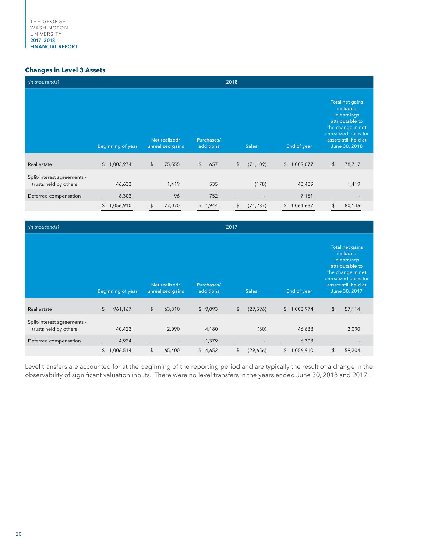#### **Changes in Level 3 Assets**

| (in thousands)                                       | 2018              |                                   |                         |                 |                 |                                                                                                                                                     |  |  |  |
|------------------------------------------------------|-------------------|-----------------------------------|-------------------------|-----------------|-----------------|-----------------------------------------------------------------------------------------------------------------------------------------------------|--|--|--|
|                                                      | Beginning of year | Net realized/<br>unrealized gains | Purchases/<br>additions | <b>Sales</b>    | End of year     | Total net gains<br>included<br>in earnings<br>attributable to<br>the change in net<br>unrealized gains for<br>assets still held at<br>June 30, 2018 |  |  |  |
| Real estate                                          | \$1,003,974       | \$<br>75,555                      | $\mathfrak{L}$<br>657   | \$<br>(71, 109) | \$1,009,077     | \$<br>78,717                                                                                                                                        |  |  |  |
| Split-interest agreements -<br>trusts held by others | 46,633            | 1,419                             | 535                     | (178)           | 48,409          | 1,419                                                                                                                                               |  |  |  |
| Deferred compensation                                | 6,303             | 96                                | 752                     |                 | 7,151           |                                                                                                                                                     |  |  |  |
|                                                      | 1,056,910<br>\$   | 77,070<br>\$                      | 1,944<br>\$             | (71, 287)       | 1,064,637<br>\$ | 80,136<br>\$.                                                                                                                                       |  |  |  |

| (in thousands)                                       |                |                          |                                   |  |                         | 2017 |              |             |  |                 |                                                                                                                                                     |        |
|------------------------------------------------------|----------------|--------------------------|-----------------------------------|--|-------------------------|------|--------------|-------------|--|-----------------|-----------------------------------------------------------------------------------------------------------------------------------------------------|--------|
|                                                      |                | <b>Beginning of year</b> | Net realized/<br>unrealized gains |  | Purchases/<br>additions |      | <b>Sales</b> | End of year |  |                 | Total net gains<br>included<br>in earnings<br>attributable to<br>the change in net<br>unrealized gains for<br>assets still held at<br>June 30, 2017 |        |
| Real estate                                          | $\mathfrak{L}$ | 961,167                  | \$<br>63,310                      |  | \$9,093                 |      | $\sqrt{2}$   | (29, 596)   |  | \$1,003,974     | \$                                                                                                                                                  | 57,114 |
| Split-interest agreements -<br>trusts held by others |                | 40,423                   | 2,090                             |  | 4,180                   |      |              | (60)        |  | 46,633          |                                                                                                                                                     | 2,090  |
| Deferred compensation                                |                | 4,924                    |                                   |  | 1,379                   |      |              |             |  | 6,303           |                                                                                                                                                     |        |
|                                                      | \$             | 1,006,514                | 65,400                            |  | \$14,652                |      |              | (29,656)    |  | \$<br>1,056,910 |                                                                                                                                                     | 59,204 |

Level transfers are accounted for at the beginning of the reporting period and are typically the result of a change in the observability of significant valuation inputs. There were no level transfers in the years ended June 30, 2018 and 2017.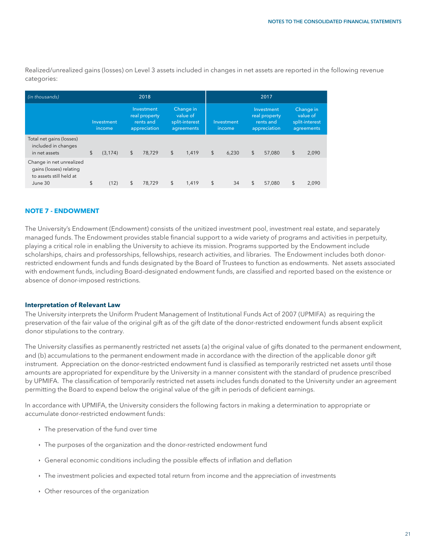Realized/unrealized gains (losses) on Level 3 assets included in changes in net assets are reported in the following revenue categories:

| (in thousands)                                                                            |                      | 2018                                                     |        | 2017       |                                                       |                      |       |                                                          |        |                                                       |       |
|-------------------------------------------------------------------------------------------|----------------------|----------------------------------------------------------|--------|------------|-------------------------------------------------------|----------------------|-------|----------------------------------------------------------|--------|-------------------------------------------------------|-------|
|                                                                                           | Investment<br>income | Investment<br>real property<br>rents and<br>appreciation |        |            | Change in<br>value of<br>split-interest<br>agreements | Investment<br>income |       | Investment<br>real property<br>rents and<br>appreciation |        | Change in<br>value of<br>split-interest<br>agreements |       |
| Total net gains (losses)<br>included in changes<br>in net assets                          | \$<br>(3.174)        | \$                                                       | 78.729 | $\sqrt{2}$ | 1.419                                                 | $\sqrt{2}$           | 6.230 | \$                                                       | 57.080 | \$                                                    | 2,090 |
| Change in net unrealized<br>gains (losses) relating<br>to assets still held at<br>June 30 | \$<br>(12)           | \$                                                       | 78,729 | \$         | 1,419                                                 | \$                   | 34    | \$                                                       | 57,080 | \$                                                    | 2,090 |

#### **NOTE 7 - ENDOWMENT**

The University's Endowment (Endowment) consists of the unitized investment pool, investment real estate, and separately managed funds. The Endowment provides stable financial support to a wide variety of programs and activities in perpetuity, playing a critical role in enabling the University to achieve its mission. Programs supported by the Endowment include scholarships, chairs and professorships, fellowships, research activities, and libraries. The Endowment includes both donorrestricted endowment funds and funds designated by the Board of Trustees to function as endowments. Net assets associated with endowment funds, including Board-designated endowment funds, are classified and reported based on the existence or absence of donor-imposed restrictions.

#### **Interpretation of Relevant Law**

The University interprets the Uniform Prudent Management of Institutional Funds Act of 2007 (UPMIFA) as requiring the preservation of the fair value of the original gift as of the gift date of the donor-restricted endowment funds absent explicit donor stipulations to the contrary.

The University classifies as permanently restricted net assets (a) the original value of gifts donated to the permanent endowment, and (b) accumulations to the permanent endowment made in accordance with the direction of the applicable donor gift instrument. Appreciation on the donor-restricted endowment fund is classified as temporarily restricted net assets until those amounts are appropriated for expenditure by the University in a manner consistent with the standard of prudence prescribed by UPMIFA. The classification of temporarily restricted net assets includes funds donated to the University under an agreement permitting the Board to expend below the original value of the gift in periods of deficient earnings.

In accordance with UPMIFA, the University considers the following factors in making a determination to appropriate or accumulate donor-restricted endowment funds:

- $\cdot$  The preservation of the fund over time
- **IF The purposes of the organization and the donor-restricted endowment fund**
- General economic conditions including the possible effects of inflation and deflation
- ê The investment policies and expected total return from income and the appreciation of investments
- **Other resources of the organization**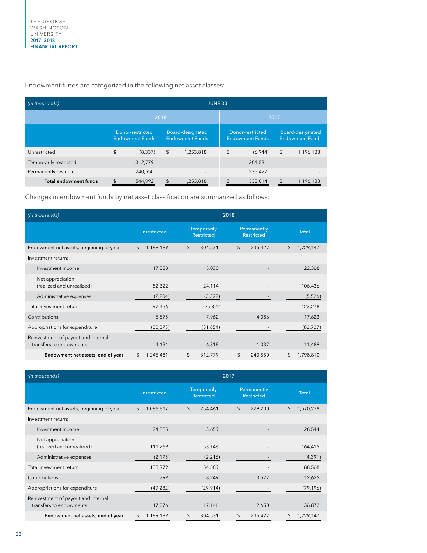Endowment funds are categorized in the following net asset classes:

| (in thousands)               |                                                   | <b>JUNE 30</b> |    |                                            |      |                                            |    |                                            |  |  |  |
|------------------------------|---------------------------------------------------|----------------|----|--------------------------------------------|------|--------------------------------------------|----|--------------------------------------------|--|--|--|
|                              |                                                   | 2018           |    |                                            | 2017 |                                            |    |                                            |  |  |  |
|                              | <b>Donor-restricted</b><br><b>Endowment Funds</b> |                |    | Board-designated<br><b>Endowment Funds</b> |      | Donor-restricted<br><b>Endowment Funds</b> |    | Board-designated<br><b>Endowment Funds</b> |  |  |  |
| Unrestricted                 | \$                                                | (8, 337)       | \$ | 1,253,818                                  | \$   | (6,944)                                    | \$ | 1,196,133                                  |  |  |  |
| Temporarily restricted       |                                                   | 312,779        |    |                                            |      | 304,531                                    |    |                                            |  |  |  |
| Permanently restricted       |                                                   | 240,550        |    |                                            |      | 235,427                                    |    |                                            |  |  |  |
| <b>Total endowment funds</b> |                                                   | 544,992        |    | 1,253,818                                  |      | 533,014                                    |    | 1,196,133                                  |  |  |  |

Changes in endowment funds by net asset classification are summarized as follows:

| (in thousands)                                                 | 2018                |                                         |                                  |                 |  |  |  |  |
|----------------------------------------------------------------|---------------------|-----------------------------------------|----------------------------------|-----------------|--|--|--|--|
|                                                                | <b>Unrestricted</b> | <b>Temporarily</b><br><b>Restricted</b> | Permanently<br><b>Restricted</b> | <b>Total</b>    |  |  |  |  |
| Endowment net assets, beginning of year                        | \$<br>1,189,189     | \$<br>304,531                           | $\mathfrak{L}$<br>235,427        | \$<br>1,729,147 |  |  |  |  |
| Investment return:                                             |                     |                                         |                                  |                 |  |  |  |  |
| Investment income                                              | 17,338              | 5,030                                   |                                  | 22,368          |  |  |  |  |
| Net appreciation<br>(realized and unrealized)                  | 82,322              | 24,114                                  |                                  | 106,436         |  |  |  |  |
| Administrative expenses                                        | (2,204)             | (3, 322)                                |                                  | (5, 526)        |  |  |  |  |
| Total investment return                                        | 97,456              | 25,822                                  |                                  | 123,278         |  |  |  |  |
| Contributions                                                  | 5,575               | 7,962                                   | 4,086                            | 17,623          |  |  |  |  |
| Appropriations for expenditure                                 | (50, 873)           | (31, 854)                               |                                  | (82, 727)       |  |  |  |  |
| Reinvestment of payout and internal<br>transfers to endowments | 4,134               | 6,318                                   | 1,037                            | 11,489          |  |  |  |  |
| Endowment net assets, end of year                              | 1,245,481<br>S      | 312,779<br>\$                           | 240,550                          | 1,798,810       |  |  |  |  |

| (in thousands)                                                 | 2017                                                    |               |                                  |                 |  |  |  |  |
|----------------------------------------------------------------|---------------------------------------------------------|---------------|----------------------------------|-----------------|--|--|--|--|
|                                                                | <b>Temporarily</b><br>Unrestricted<br><b>Restricted</b> |               | Permanently<br><b>Restricted</b> | <b>Total</b>    |  |  |  |  |
| Endowment net assets, beginning of year                        | \$<br>1,086,617                                         | \$<br>254,461 | \$<br>229,200                    | \$<br>1,570,278 |  |  |  |  |
| Investment return:                                             |                                                         |               |                                  |                 |  |  |  |  |
| Investment income                                              | 24,885                                                  | 3,659         |                                  | 28,544          |  |  |  |  |
| Net appreciation<br>(realized and unrealized)                  | 111,269                                                 | 53,146        |                                  | 164,415         |  |  |  |  |
| Administrative expenses                                        | (2, 175)                                                | (2, 216)      |                                  | (4, 391)        |  |  |  |  |
| Total investment return                                        | 133,979                                                 | 54,589        |                                  | 188,568         |  |  |  |  |
| Contributions                                                  | 799                                                     | 8,249         | 3,577                            | 12,625          |  |  |  |  |
| Appropriations for expenditure                                 | (49, 282)                                               | (29, 914)     |                                  | (79, 196)       |  |  |  |  |
| Reinvestment of payout and internal<br>transfers to endowments | 17,076                                                  | 17,146        | 2,650                            | 36,872          |  |  |  |  |
| Endowment net assets, end of year                              | 1,189,189                                               | 304,531<br>\$ | 235,427                          | 1,729,147       |  |  |  |  |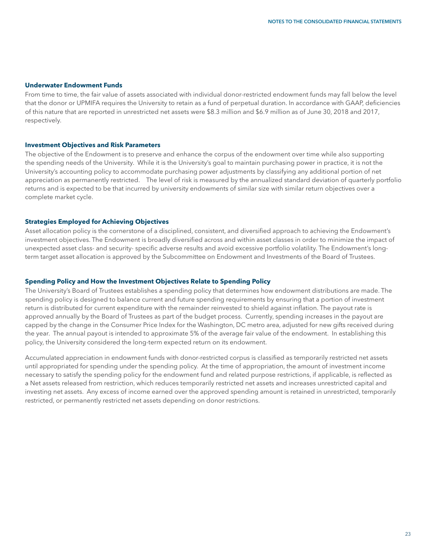#### **Underwater Endowment Funds**

From time to time, the fair value of assets associated with individual donor-restricted endowment funds may fall below the level that the donor or UPMIFA requires the University to retain as a fund of perpetual duration. In accordance with GAAP, deficiencies of this nature that are reported in unrestricted net assets were \$8.3 million and \$6.9 million as of June 30, 2018 and 2017, respectively.

#### **Investment Objectives and Risk Parameters**

The objective of the Endowment is to preserve and enhance the corpus of the endowment over time while also supporting the spending needs of the University. While it is the University's goal to maintain purchasing power in practice, it is not the University's accounting policy to accommodate purchasing power adjustments by classifying any additional portion of net appreciation as permanently restricted. The level of risk is measured by the annualized standard deviation of quarterly portfolio returns and is expected to be that incurred by university endowments of similar size with similar return objectives over a complete market cycle.

#### **Strategies Employed for Achieving Objectives**

Asset allocation policy is the cornerstone of a disciplined, consistent, and diversified approach to achieving the Endowment's investment objectives. The Endowment is broadly diversified across and within asset classes in order to minimize the impact of unexpected asset class- and security- specific adverse results and avoid excessive portfolio volatility. The Endowment's longterm target asset allocation is approved by the Subcommittee on Endowment and Investments of the Board of Trustees.

#### **Spending Policy and How the Investment Objectives Relate to Spending Policy**

The University's Board of Trustees establishes a spending policy that determines how endowment distributions are made. The spending policy is designed to balance current and future spending requirements by ensuring that a portion of investment return is distributed for current expenditure with the remainder reinvested to shield against inflation. The payout rate is approved annually by the Board of Trustees as part of the budget process. Currently, spending increases in the payout are capped by the change in the Consumer Price Index for the Washington, DC metro area, adjusted for new gifts received during the year. The annual payout is intended to approximate 5% of the average fair value of the endowment. In establishing this policy, the University considered the long-term expected return on its endowment.

Accumulated appreciation in endowment funds with donor-restricted corpus is classified as temporarily restricted net assets until appropriated for spending under the spending policy. At the time of appropriation, the amount of investment income necessary to satisfy the spending policy for the endowment fund and related purpose restrictions, if applicable, is reflected as a Net assets released from restriction, which reduces temporarily restricted net assets and increases unrestricted capital and investing net assets. Any excess of income earned over the approved spending amount is retained in unrestricted, temporarily restricted, or permanently restricted net assets depending on donor restrictions.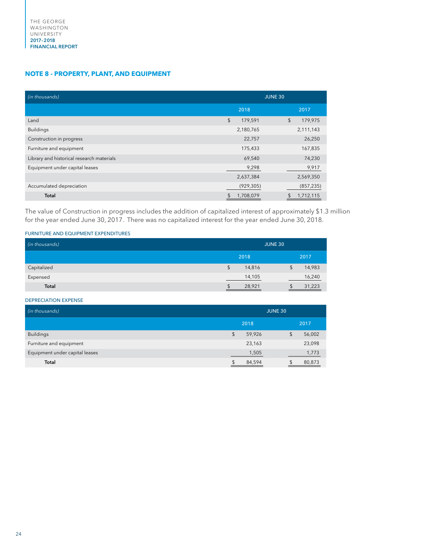#### **NOTE 8 - PROPERTY, PLANT, AND EQUIPMENT**

| (in thousands)                            | <b>JUNE 30</b>   |               |  |  |  |  |
|-------------------------------------------|------------------|---------------|--|--|--|--|
|                                           | 2018             | 2017          |  |  |  |  |
| Land                                      | \$<br>179,591    | \$<br>179,975 |  |  |  |  |
| <b>Buildings</b>                          | 2,180,765        | 2,111,143     |  |  |  |  |
| Construction in progress                  | 22,757           | 26,250        |  |  |  |  |
| Furniture and equipment                   | 175,433          | 167,835       |  |  |  |  |
| Library and historical research materials | 69,540           | 74,230        |  |  |  |  |
| Equipment under capital leases            | 9,298            | 9,917         |  |  |  |  |
|                                           | 2,637,384        | 2,569,350     |  |  |  |  |
| Accumulated depreciation                  | (929, 305)       | (857, 235)    |  |  |  |  |
| <b>Total</b>                              | 1,708,079<br>\$. | 1,712,115     |  |  |  |  |

The value of Construction in progress includes the addition of capitalized interest of approximately \$1.3 million for the year ended June 30, 2017. There was no capitalized interest for the year ended June 30, 2018.

FURNITURE AND EQUIPMENT EXPENDITURES

| (in thousands) | <b>JUNE 30</b> |              |  |  |  |
|----------------|----------------|--------------|--|--|--|
|                | 2018           | 2017         |  |  |  |
| Capitalized    | 14,816<br>\$   | 14,983<br>\$ |  |  |  |
| Expensed       | 14,105         | 16,240       |  |  |  |
| <b>Total</b>   | 28,921         | 31,223       |  |  |  |

#### DEPRECIATION EXPENSE

| (in thousands)                 | <b>JUNE 30</b> |    |        |  |
|--------------------------------|----------------|----|--------|--|
|                                | 2018           |    | 2017   |  |
| <b>Buildings</b>               | \$<br>59,926   | \$ | 56,002 |  |
| Furniture and equipment        | 23,163         |    | 23,098 |  |
| Equipment under capital leases | 1,505          |    | 1,773  |  |
| Total                          | 84,594         |    | 80,873 |  |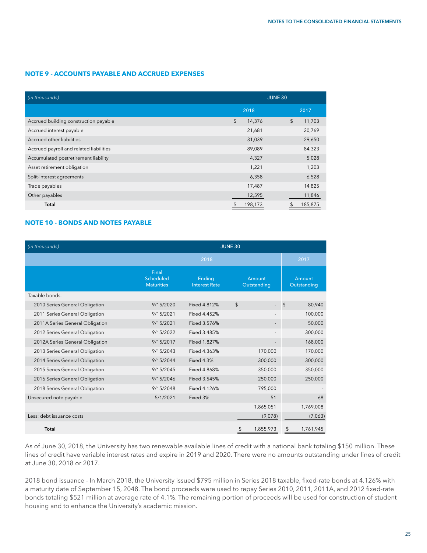#### **NOTE 9 - ACCOUNTS PAYABLE AND ACCRUED EXPENSES**

| (in thousands)                          | <b>JUNE 30</b>          |              |  |
|-----------------------------------------|-------------------------|--------------|--|
|                                         | 2018                    | 2017         |  |
| Accrued building construction payable   | $\frac{1}{2}$<br>14,376 | \$<br>11,703 |  |
| Accrued interest payable                | 21,681                  | 20,769       |  |
| Accrued other liabilities               | 31,039                  | 29,650       |  |
| Accrued payroll and related liabilities | 89,089                  | 84,323       |  |
| Accumulated postretirement liability    | 4,327                   | 5,028        |  |
| Asset retirement obligation             | 1,221                   | 1,203        |  |
| Split-interest agreements               | 6,358                   | 6,528        |  |
| Trade payables                          | 17,487                  | 14,825       |  |
| Other payables                          | 12,595                  | 11,846       |  |
| <b>Total</b>                            | 198,173<br>\$           | 185,875      |  |

#### **NOTE 10 - BONDS AND NOTES PAYABLE**

| (in thousands)                  | <b>JUNE 30</b>                                 |                                       |                       |                       |  |  |
|---------------------------------|------------------------------------------------|---------------------------------------|-----------------------|-----------------------|--|--|
|                                 |                                                | 2018                                  |                       | 2017                  |  |  |
|                                 | Final<br><b>Scheduled</b><br><b>Maturities</b> | <b>Ending</b><br><b>Interest Rate</b> | Amount<br>Outstanding | Amount<br>Outstanding |  |  |
| Taxable bonds:                  |                                                |                                       |                       |                       |  |  |
| 2010 Series General Obligation  | 9/15/2020                                      | Fixed 4.812%                          | \$                    | 80,940<br>\$          |  |  |
| 2011 Series General Obligation  | 9/15/2021                                      | Fixed 4.452%                          |                       | 100,000               |  |  |
| 2011A Series General Obligation | 9/15/2021                                      | Fixed 3.576%                          |                       | 50,000                |  |  |
| 2012 Series General Obligation  | 9/15/2022                                      | Fixed 3.485%                          |                       | 300,000               |  |  |
| 2012A Series General Obligation | 9/15/2017                                      | Fixed 1.827%                          |                       | 168,000               |  |  |
| 2013 Series General Obligation  | 9/15/2043                                      | Fixed 4.363%                          | 170,000               | 170,000               |  |  |
| 2014 Series General Obligation  | 9/15/2044                                      | <b>Fixed 4.3%</b>                     | 300,000               | 300,000               |  |  |
| 2015 Series General Obligation  | 9/15/2045                                      | Fixed 4.868%                          | 350,000               | 350,000               |  |  |
| 2016 Series General Obligation  | 9/15/2046                                      | Fixed 3.545%                          | 250,000               | 250,000               |  |  |
| 2018 Series General Obligation  | 9/15/2048                                      | Fixed 4.126%                          | 795,000               |                       |  |  |
| Unsecured note payable          | 5/1/2021                                       | Fixed 3%                              | 51                    | 68                    |  |  |
|                                 |                                                |                                       | 1,865,051             | 1,769,008             |  |  |
| Less: debt issuance costs       |                                                |                                       | (9,078)               | (7,063)               |  |  |
| <b>Total</b>                    |                                                |                                       | 1,855,973             | 1,761,945<br>\$       |  |  |

As of June 30, 2018, the University has two renewable available lines of credit with a national bank totaling \$150 million. These lines of credit have variable interest rates and expire in 2019 and 2020. There were no amounts outstanding under lines of credit at June 30, 2018 or 2017.

2018 bond issuance - In March 2018, the University issued \$795 million in Series 2018 taxable, fixed-rate bonds at 4.126% with a maturity date of September 15, 2048. The bond proceeds were used to repay Series 2010, 2011, 2011A, and 2012 fixed-rate bonds totaling \$521 million at average rate of 4.1%. The remaining portion of proceeds will be used for construction of student housing and to enhance the University's academic mission.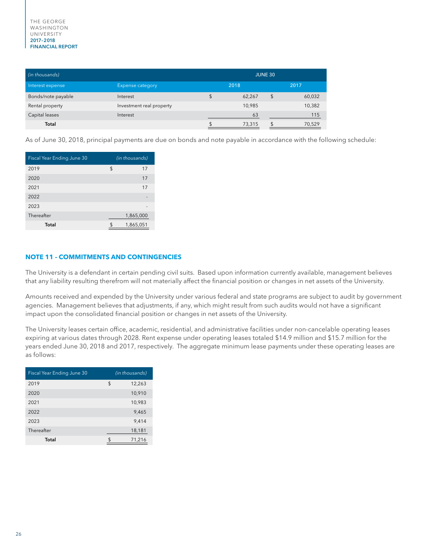| (in thousands)     | <b>JUNE 30</b>           |    |        |    |        |
|--------------------|--------------------------|----|--------|----|--------|
| Interest expense   | <b>Expense category</b>  |    | 2018   |    | 2017   |
| Bonds/note payable | Interest                 | \$ | 62,267 | \$ | 60,032 |
| Rental property    | Investment real property |    | 10,985 |    | 10,382 |
| Capital leases     | Interest                 |    | 63     |    | 115    |
| Total              |                          | \$ | 73,315 | \$ | 70,529 |

As of June 30, 2018, principal payments are due on bonds and note payable in accordance with the following schedule:

| Fiscal Year Ending June 30 | (in thousands) |  |  |
|----------------------------|----------------|--|--|
| 2019                       | \$<br>17       |  |  |
| 2020                       | 17             |  |  |
| 2021                       | 17             |  |  |
| 2022                       |                |  |  |
| 2023                       |                |  |  |
| Thereafter                 | 1,865,000      |  |  |
| Total                      | 1,865,051      |  |  |

#### **NOTE 11 - COMMITMENTS AND CONTINGENCIES**

The University is a defendant in certain pending civil suits. Based upon information currently available, management believes that any liability resulting therefrom will not materially affect the financial position or changes in net assets of the University.

Amounts received and expended by the University under various federal and state programs are subject to audit by government agencies. Management believes that adjustments, if any, which might result from such audits would not have a significant impact upon the consolidated financial position or changes in net assets of the University.

The University leases certain office, academic, residential, and administrative facilities under non-cancelable operating leases expiring at various dates through 2028. Rent expense under operating leases totaled \$14.9 million and \$15.7 million for the years ended June 30, 2018 and 2017, respectively. The aggregate minimum lease payments under these operating leases are as follows:

| Fiscal Year Ending June 30 |     | (in thousands) |
|----------------------------|-----|----------------|
| 2019                       | \$  | 12,263         |
| 2020                       |     | 10,910         |
| 2021                       |     | 10,983         |
| 2022                       |     | 9,465          |
| 2023                       |     | 9,414          |
| Thereafter                 |     | 18,181         |
| Total                      | \$. | 71,216         |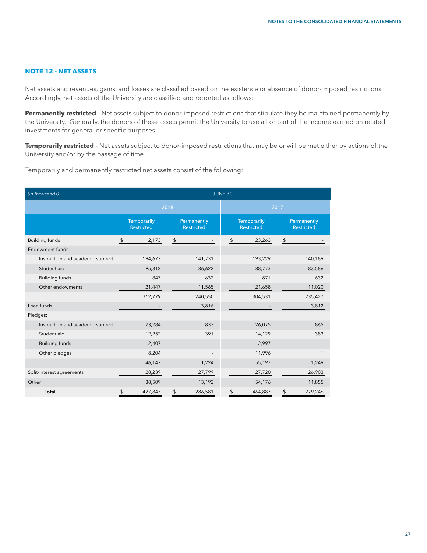#### **NOTE 12 - NET ASSETS**

Net assets and revenues, gains, and losses are classified based on the existence or absence of donor-imposed restrictions. Accordingly, net assets of the University are classified and reported as follows:

Permanently restricted - Net assets subject to donor-imposed restrictions that stipulate they be maintained permanently by the University. Generally, the donors of these assets permit the University to use all or part of the income earned on related investments for general or specific purposes.

**Temporarily restricted** - Net assets subject to donor-imposed restrictions that may be or will be met either by actions of the University and/or by the passage of time.

Temporarily and permanently restricted net assets consist of the following:

| (in thousands)                   | <b>JUNE 30</b>                                                              |                |                                  |                                  |  |
|----------------------------------|-----------------------------------------------------------------------------|----------------|----------------------------------|----------------------------------|--|
|                                  |                                                                             | 2018           |                                  | 2017                             |  |
|                                  | <b>Temporarily</b><br>Permanently<br><b>Restricted</b><br><b>Restricted</b> |                | Temporarily<br><b>Restricted</b> | Permanently<br><b>Restricted</b> |  |
| <b>Building funds</b>            | \$<br>2,173                                                                 | $\updownarrow$ | 23,263<br>\$                     | \$                               |  |
| Endowment funds:                 |                                                                             |                |                                  |                                  |  |
| Instruction and academic support | 194,673                                                                     | 141,731        | 193,229                          | 140,189                          |  |
| Student aid                      | 95,812                                                                      | 86,622         | 88,773                           | 83,586                           |  |
| <b>Building funds</b>            | 847                                                                         | 632            | 871                              | 632                              |  |
| Other endowments                 | 21,447                                                                      | 11,565         | 21,658                           | 11,020                           |  |
|                                  | 312,779                                                                     | 240,550        | 304,531                          | 235,427                          |  |
| Loan funds                       |                                                                             | 3,816          |                                  | 3,812                            |  |
| Pledges:                         |                                                                             |                |                                  |                                  |  |
| Instruction and academic support | 23,284                                                                      | 833            | 26,075                           | 865                              |  |
| Student aid                      | 12,252                                                                      | 391            | 14,129                           | 383                              |  |
| <b>Building funds</b>            | 2,407                                                                       |                | 2,997                            |                                  |  |
| Other pledges                    | 8,204                                                                       |                | 11,996                           |                                  |  |
|                                  | 46,147                                                                      | 1,224          | 55,197                           | 1,249                            |  |
| Split-interest agreements        | 28,239                                                                      | 27,799         | 27,720                           | 26,903                           |  |
| Other                            | 38,509                                                                      | 13,192         | 54,176                           | 11,855                           |  |
| <b>Total</b>                     | \$<br>427,847                                                               | \$<br>286,581  | 464,887<br>\$                    | \$<br>279,246                    |  |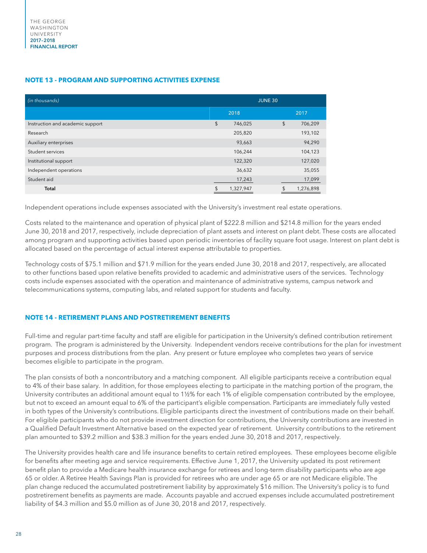#### **NOTE 13 - PROGRAM AND SUPPORTING ACTIVITIES EXPENSE**

| (in thousands)                   | <b>JUNE 30</b> |           |    |           |  |
|----------------------------------|----------------|-----------|----|-----------|--|
|                                  |                | 2018      |    | 2017      |  |
| Instruction and academic support | \$             | 746,025   | \$ | 706,209   |  |
| Research                         |                | 205,820   |    | 193,102   |  |
| Auxiliary enterprises            |                | 93,663    |    | 94,290    |  |
| Student services                 |                | 106,244   |    | 104,123   |  |
| Institutional support            |                | 122,320   |    | 127,020   |  |
| Independent operations           |                | 36,632    |    | 35,055    |  |
| Student aid                      |                | 17,243    |    | 17,099    |  |
| <b>Total</b>                     |                | 1,327,947 |    | 1,276,898 |  |

Independent operations include expenses associated with the University's investment real estate operations.

Costs related to the maintenance and operation of physical plant of \$222.8 million and \$214.8 million for the years ended June 30, 2018 and 2017, respectively, include depreciation of plant assets and interest on plant debt. These costs are allocated among program and supporting activities based upon periodic inventories of facility square foot usage. Interest on plant debt is allocated based on the percentage of actual interest expense attributable to properties.

Technology costs of \$75.1 million and \$71.9 million for the years ended June 30, 2018 and 2017, respectively, are allocated to other functions based upon relative benefits provided to academic and administrative users of the services. Technology costs include expenses associated with the operation and maintenance of administrative systems, campus network and telecommunications systems, computing labs, and related support for students and faculty.

#### **NOTE 14 - RETIREMENT PLANS AND POSTRETIREMENT BENEFITS**

Full-time and regular part-time faculty and staff are eligible for participation in the University's defined contribution retirement program. The program is administered by the University. Independent vendors receive contributions for the plan for investment purposes and process distributions from the plan. Any present or future employee who completes two years of service becomes eligible to participate in the program.

The plan consists of both a noncontributory and a matching component. All eligible participants receive a contribution equal to 4% of their base salary. In addition, for those employees electing to participate in the matching portion of the program, the University contributes an additional amount equal to 1½% for each 1% of eligible compensation contributed by the employee, but not to exceed an amount equal to 6% of the participant's eligible compensation. Participants are immediately fully vested in both types of the University's contributions. Eligible participants direct the investment of contributions made on their behalf. For eligible participants who do not provide investment direction for contributions, the University contributions are invested in a Qualified Default Investment Alternative based on the expected year of retirement. University contributions to the retirement plan amounted to \$39.2 million and \$38.3 million for the years ended June 30, 2018 and 2017, respectively.

The University provides health care and life insurance benefits to certain retired employees. These employees become eligible for benefits after meeting age and service requirements. Effective June 1, 2017, the University updated its post retirement benefit plan to provide a Medicare health insurance exchange for retirees and long-term disability participants who are age 65 or older. A Retiree Health Savings Plan is provided for retirees who are under age 65 or are not Medicare eligible. The plan change reduced the accumulated postretirement liability by approximately \$16 million. The University's policy is to fund postretirement benefits as payments are made. Accounts payable and accrued expenses include accumulated postretirement liability of \$4.3 million and \$5.0 million as of June 30, 2018 and 2017, respectively.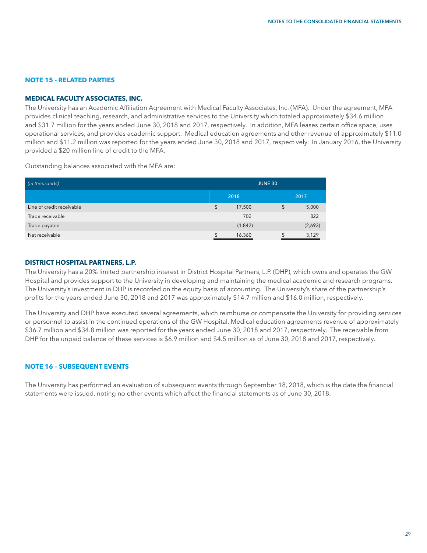#### **NOTE 15 - RELATED PARTIES**

#### **MEDICAL FACULTY ASSOCIATES, INC.**

The University has an Academic Affiliation Agreement with Medical Faculty Associates, Inc. (MFA). Under the agreement, MFA provides clinical teaching, research, and administrative services to the University which totaled approximately \$34.6 million and \$31.7 million for the years ended June 30, 2018 and 2017, respectively. In addition, MFA leases certain office space, uses operational services, and provides academic support. Medical education agreements and other revenue of approximately \$11.0 million and \$11.2 million was reported for the years ended June 30, 2018 and 2017, respectively. In January 2016, the University provided a \$20 million line of credit to the MFA.

Outstanding balances associated with the MFA are:

| (in thousands)            | <b>JUNE 30</b> |    |         |  |
|---------------------------|----------------|----|---------|--|
|                           | 2018<br>2017   |    |         |  |
| Line of credit receivable | \$<br>17,500   | \$ | 5,000   |  |
| Trade receivable          | 702            |    | 822     |  |
| Trade payable             | (1,842)        |    | (2,693) |  |
| Net receivable            | 16,360         |    | 3,129   |  |

#### **DISTRICT HOSPITAL PARTNERS, L.P.**

The University has a 20% limited partnership interest in District Hospital Partners, L.P. (DHP), which owns and operates the GW Hospital and provides support to the University in developing and maintaining the medical academic and research programs. The University's investment in DHP is recorded on the equity basis of accounting. The University's share of the partnership's profits for the years ended June 30, 2018 and 2017 was approximately \$14.7 million and \$16.0 million, respectively.

The University and DHP have executed several agreements, which reimburse or compensate the University for providing services or personnel to assist in the continued operations of the GW Hospital. Medical education agreements revenue of approximately \$36.7 million and \$34.8 million was reported for the years ended June 30, 2018 and 2017, respectively. The receivable from DHP for the unpaid balance of these services is \$6.9 million and \$4.5 million as of June 30, 2018 and 2017, respectively.

#### **NOTE 16 – SUBSEQUENT EVENTS**

The University has performed an evaluation of subsequent events through September 18, 2018, which is the date the financial statements were issued, noting no other events which affect the financial statements as of June 30, 2018.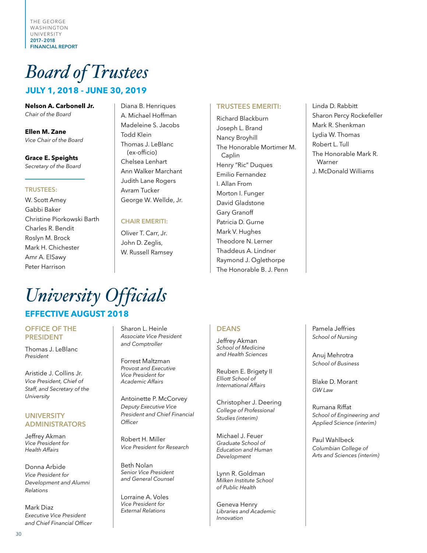THE GEORGE WASHINGTON UNIVERSITY 2017–2018 FINANCIAL REPORT

# *Board of Trustees*

# **JULY 1, 2018 - JUNE 30, 2019**

**Nelson A. Carbonell Jr.** *Chair of the Board*

**Ellen M. Zane** *Vice Chair of the Board*

**Grace E. Speights** *Secretary of the Board*

#### TRUSTEES:

W. Scott Amey Gabbi Baker Christine Piorkowski Barth Charles R. Bendit Roslyn M. Brock Mark H. Chichester Amr A. ElSawy Peter Harrison

Diana B. Henriques A. Michael Hoffman Madeleine S. Jacobs Todd Klein Thomas J. LeBlanc (ex-officio) Chelsea Lenhart Ann Walker Marchant Judith Lane Rogers Avram Tucker George W. Wellde, Jr.

#### CHAIR EMERITI:

Oliver T. Carr, Jr. John D. Zeglis, W. Russell Ramsey

#### TRUSTEES EMERITI:

Richard Blackburn Joseph L. Brand Nancy Broyhill The Honorable Mortimer M. Caplin Henry "Ric" Duques Emilio Fernandez I. Allan From Morton I. Funger David Gladstone Gary Granoff Patricia D. Gurne Mark V. Hughes Theodore N. Lerner Thaddeus A. Lindner Raymond J. Oglethorpe The Honorable B. J. Penn

Linda D. Rabbitt Sharon Percy Rockefeller Mark R. Shenkman Lydia W. Thomas Robert L. Tull The Honorable Mark R. Warner J. McDonald Williams

# *University Officials* **EFFECTIVE AUGUST 2018**

#### OFFICE OF THE PRESIDENT

Thomas J. LeBlanc *President*

Aristide J. Collins Jr. *Vice President, Chief of Staff, and Secretary of the University*

#### **UNIVERSITY** ADMINISTRATORS

Jeffrey Akman *Vice President for Health Affairs*

Donna Arbide *Vice President for Development and Alumni Relations*

Mark Diaz *Executive Vice President and Chief Financial Officer*

Sharon L. Heinle *Associate Vice President and Comptroller*

Forrest Maltzman *Provost and Executive Vice President for Academic Affairs*

Antoinette P. McCorvey *Deputy Executive Vice President and Chief Financial Officer*

Robert H. Miller *Vice President for Research*

Beth Nolan *Senior Vice President and General Counsel*

Lorraine A. Voles *Vice President for External Relations*

#### DEANS

Jeffrey Akman *School of Medicine and Health Sciences* 

Reuben E. Brigety II *Elliott School of International Affairs*

Christopher J. Deering *College of Professional Studies (interim)*

Michael J. Feuer *Graduate School of Education and Human Development* 

Lynn R. Goldman *Milken Institute School of Public Health*

Geneva Henry *Libraries and Academic Innovation*

Pamela Jeffries *School of Nursing*

Anuj Mehrotra *School of Business*

Blake D. Morant *GW Law*

Rumana Riffat *School of Engineering and Applied Science (interim)*

Paul Wahlbeck *Columbian College of Arts and Sciences (interim)*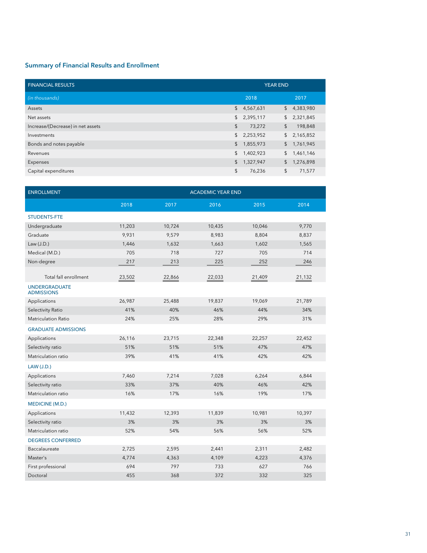#### Summary of Financial Results and Enrollment

| <b>FINANCIAL RESULTS</b>          | <b>YEAR END</b> |           |                |           |
|-----------------------------------|-----------------|-----------|----------------|-----------|
| (in thousands)                    |                 | 2018      |                | 2017      |
| Assets                            | $\sqrt{2}$      | 4,567,631 | $\frac{1}{2}$  | 4,383,980 |
| Net assets                        | $\mathfrak{S}$  | 2,395,117 | $\frac{1}{2}$  | 2,321,845 |
| Increase/(Decrease) in net assets | \$              | 73,272    | $\mathfrak{L}$ | 198,848   |
| Investments                       | $\mathsf{\$}$   | 2,253,952 | $\frac{1}{2}$  | 2,165,852 |
| Bonds and notes payable           | \$              | 1,855,973 | $\mathsf{\$}$  | 1,761,945 |
| Revenues                          | \$              | 1,402,923 | \$             | 1,461,146 |
| Expenses                          | \$              | 1,327,947 | \$             | 1,276,898 |
| Capital expenditures              | \$              | 76,236    | \$             | 71,577    |

| <b>ENROLLMENT</b>                         | <b>ACADEMIC YEAR END</b> |        |        |        |        |  |
|-------------------------------------------|--------------------------|--------|--------|--------|--------|--|
|                                           | 2018                     | 2017   | 2016   | 2015   | 2014   |  |
| <b>STUDENTS-FTE</b>                       |                          |        |        |        |        |  |
| Undergraduate                             | 11,203                   | 10,724 | 10,435 | 10,046 | 9,770  |  |
| Graduate                                  | 9,931                    | 9,579  | 8,983  | 8,804  | 8,837  |  |
| Law $(J.D.)$                              | 1,446                    | 1,632  | 1,663  | 1,602  | 1,565  |  |
| Medical (M.D.)                            | 705                      | 718    | 727    | 705    | 714    |  |
| Non-degree                                | 217                      | 213    | 225    | 252    | 246    |  |
| Total fall enrollment                     | 23,502                   | 22,866 | 22,033 | 21,409 | 21,132 |  |
| <b>UNDERGRADUATE</b><br><b>ADMISSIONS</b> |                          |        |        |        |        |  |
| Applications                              | 26,987                   | 25,488 | 19,837 | 19,069 | 21,789 |  |
| Selectivity Ratio                         | 41%                      | 40%    | 46%    | 44%    | 34%    |  |
| <b>Matriculation Ratio</b>                | 24%                      | 25%    | 28%    | 29%    | 31%    |  |
| <b>GRADUATE ADMISSIONS</b>                |                          |        |        |        |        |  |
| Applications                              | 26,116                   | 23,715 | 22,348 | 22,257 | 22,452 |  |
| Selectivity ratio                         | 51%                      | 51%    | 51%    | 47%    | 47%    |  |
| Matriculation ratio                       | 39%                      | 41%    | 41%    | 42%    | 42%    |  |
| <b>LAW (J.D.)</b>                         |                          |        |        |        |        |  |
| Applications                              | 7,460                    | 7,214  | 7,028  | 6,264  | 6,844  |  |
| Selectivity ratio                         | 33%                      | 37%    | 40%    | 46%    | 42%    |  |
| Matriculation ratio                       | 16%                      | 17%    | 16%    | 19%    | 17%    |  |
| <b>MEDICINE (M.D.)</b>                    |                          |        |        |        |        |  |
| Applications                              | 11,432                   | 12,393 | 11,839 | 10,981 | 10,397 |  |
| Selectivity ratio                         | 3%                       | 3%     | 3%     | 3%     | 3%     |  |
| Matriculation ratio                       | 52%                      | 54%    | 56%    | 56%    | 52%    |  |
| <b>DEGREES CONFERRED</b>                  |                          |        |        |        |        |  |
| Baccalaureate                             | 2,725                    | 2,595  | 2,441  | 2,311  | 2,482  |  |
| Master's                                  | 4,774                    | 4,363  | 4,109  | 4,223  | 4,376  |  |
| First professional                        | 694                      | 797    | 733    | 627    | 766    |  |
| Doctoral                                  | 455                      | 368    | 372    | 332    | 325    |  |